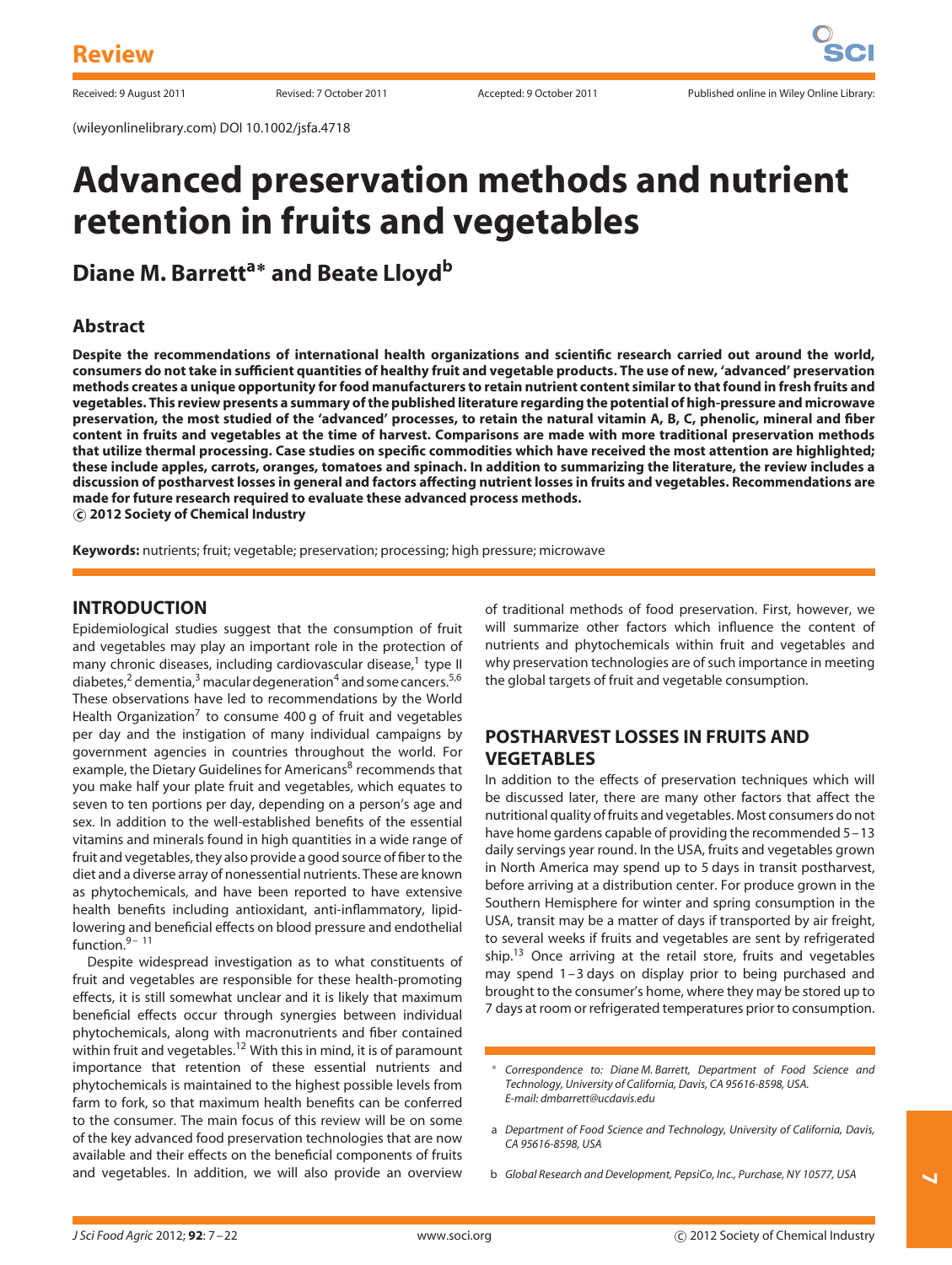# **Advanced preservation methods and nutrient retention in fruits and vegetables**

**Diane M. Barretta<sup>∗</sup> and Beate Lloyd<sup>b</sup>**

# **Abstract**

**Despite the recommendations of international health organizations and scientific research carried out around the world, consumers do not take in sufficient quantities of healthy fruit and vegetable products. The use of new, 'advanced' preservation methods creates a unique opportunity for food manufacturers to retain nutrient content similar to that found in fresh fruits and vegetables. This review presents a summary of the published literature regarding the potential of high-pressure and microwave preservation, the most studied of the 'advanced' processes, to retain the natural vitamin A, B, C, phenolic, mineral and fiber content in fruits and vegetables at the time of harvest. Comparisons are made with more traditional preservation methods that utilize thermal processing. Case studies on specific commodities which have received the most attention are highlighted; these include apples, carrots, oranges, tomatoes and spinach. In addition to summarizing the literature, the review includes a discussion of postharvest losses in general and factors affecting nutrient losses in fruits and vegetables. Recommendations are made for future research required to evaluate these advanced process methods. c 2012 Society of Chemical Industry**

**Keywords:** nutrients; fruit; vegetable; preservation; processing; high pressure; microwave

# **INTRODUCTION**

Epidemiological studies suggest that the consumption of fruit and vegetables may play an important role in the protection of many chronic diseases, including cardiovascular disease,<sup>1</sup> type II diabetes,<sup>2</sup> dementia,<sup>3</sup> macular degeneration<sup>4</sup> and some cancers.<sup>5,6</sup> These observations have led to recommendations by the World Health Organization<sup>7</sup> to consume 400 g of fruit and vegetables per day and the instigation of many individual campaigns by government agencies in countries throughout the world. For example, the Dietary Guidelines for Americans<sup>8</sup> recommends that you make half your plate fruit and vegetables, which equates to seven to ten portions per day, depending on a person's age and sex. In addition to the well-established benefits of the essential vitamins and minerals found in high quantities in a wide range of fruit and vegetables, they also provide a good source of fiber to the diet and a diverse array of nonessential nutrients. These are known as phytochemicals, and have been reported to have extensive health benefits including antioxidant, anti-inflammatory, lipidlowering and beneficial effects on blood pressure and endothelial function. $9 - 11$ 

Despite widespread investigation as to what constituents of fruit and vegetables are responsible for these health-promoting effects, it is still somewhat unclear and it is likely that maximum beneficial effects occur through synergies between individual phytochemicals, along with macronutrients and fiber contained within fruit and vegetables.<sup>12</sup> With this in mind, it is of paramount importance that retention of these essential nutrients and phytochemicals is maintained to the highest possible levels from farm to fork, so that maximum health benefits can be conferred to the consumer. The main focus of this review will be on some of the key advanced food preservation technologies that are now available and their effects on the beneficial components of fruits and vegetables. In addition, we will also provide an overview

of traditional methods of food preservation. First, however, we will summarize other factors which influence the content of nutrients and phytochemicals within fruit and vegetables and why preservation technologies are of such importance in meeting the global targets of fruit and vegetable consumption.

# **POSTHARVEST LOSSES IN FRUITS AND VEGETABLES**

In addition to the effects of preservation techniques which will be discussed later, there are many other factors that affect the nutritional quality of fruits and vegetables. Most consumers do not have home gardens capable of providing the recommended 5–13 daily servings year round. In the USA, fruits and vegetables grown in North America may spend up to 5 days in transit postharvest, before arriving at a distribution center. For produce grown in the Southern Hemisphere for winter and spring consumption in the USA, transit may be a matter of days if transported by air freight, to several weeks if fruits and vegetables are sent by refrigerated ship.<sup>13</sup> Once arriving at the retail store, fruits and vegetables may spend 1–3 days on display prior to being purchased and brought to the consumer's home, where they may be stored up to 7 days at room or refrigerated temperatures prior to consumption.

b *Global Research and Development, PepsiCo, Inc., Purchase, NY 10577, USA*

<sup>∗</sup> *Correspondence to: Diane M. Barrett, Department of Food Science and Technology, University of California, Davis, CA 95616-8598, USA. E-mail: dmbarrett@ucdavis.edu*

a *Department of Food Science and Technology, University of California, Davis, CA 95616-8598, USA*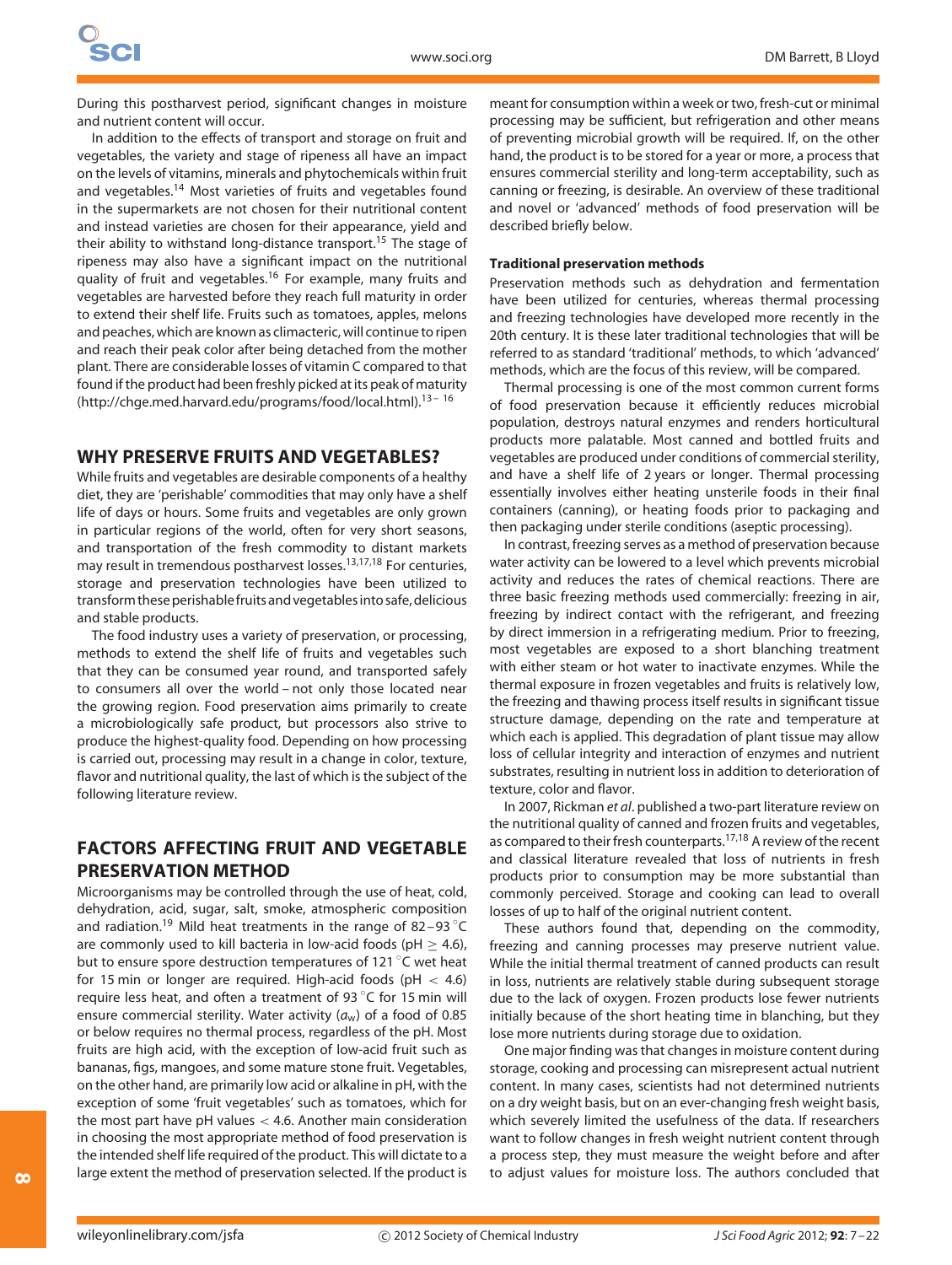During this postharvest period, significant changes in moisture and nutrient content will occur.

In addition to the effects of transport and storage on fruit and vegetables, the variety and stage of ripeness all have an impact on the levels of vitamins, minerals and phytochemicals within fruit and vegetables.14 Most varieties of fruits and vegetables found in the supermarkets are not chosen for their nutritional content and instead varieties are chosen for their appearance, yield and their ability to withstand long-distance transport.<sup>15</sup> The stage of ripeness may also have a significant impact on the nutritional quality of fruit and vegetables.<sup>16</sup> For example, many fruits and vegetables are harvested before they reach full maturity in order to extend their shelf life. Fruits such as tomatoes, apples, melons and peaches, which are known as climacteric, will continue to ripen and reach their peak color after being detached from the mother plant. There are considerable losses of vitamin C compared to that found if the product had been freshly picked at its peak of maturity (http://chge.med.harvard.edu/programs/food/local.html).<sup>13-16</sup>

# **WHY PRESERVE FRUITS AND VEGETABLES?**

While fruits and vegetables are desirable components of a healthy diet, they are 'perishable' commodities that may only have a shelf life of days or hours. Some fruits and vegetables are only grown in particular regions of the world, often for very short seasons, and transportation of the fresh commodity to distant markets may result in tremendous postharvest losses.<sup>13,17,18</sup> For centuries, storage and preservation technologies have been utilized to transform these perishable fruits and vegetables into safe, delicious and stable products.

The food industry uses a variety of preservation, or processing, methods to extend the shelf life of fruits and vegetables such that they can be consumed year round, and transported safely to consumers all over the world – not only those located near the growing region. Food preservation aims primarily to create a microbiologically safe product, but processors also strive to produce the highest-quality food. Depending on how processing is carried out, processing may result in a change in color, texture, flavor and nutritional quality, the last of which is the subject of the following literature review.

# **FACTORS AFFECTING FRUIT AND VEGETABLE PRESERVATION METHOD**

Microorganisms may be controlled through the use of heat, cold, dehydration, acid, sugar, salt, smoke, atmospheric composition and radiation.<sup>19</sup> Mild heat treatments in the range of 82–93 $^{\circ}$ C are commonly used to kill bacteria in low-acid foods ( $pH > 4.6$ ), but to ensure spore destruction temperatures of 121 °C wet heat for 15 min or longer are required. High-acid foods (pH *<* 4.6) require less heat, and often a treatment of 93 $^{\circ}$ C for 15 min will ensure commercial sterility. Water activity (*a*w) of a food of 0.85 or below requires no thermal process, regardless of the pH. Most fruits are high acid, with the exception of low-acid fruit such as bananas, figs, mangoes, and some mature stone fruit. Vegetables, on the other hand, are primarily low acid or alkaline in pH, with the exception of some 'fruit vegetables' such as tomatoes, which for the most part have pH values *<* 4.6. Another main consideration in choosing the most appropriate method of food preservation is the intended shelf life required of the product. This will dictate to a large extent the method of preservation selected. If the product is meant for consumption within a week or two, fresh-cut or minimal processing may be sufficient, but refrigeration and other means of preventing microbial growth will be required. If, on the other hand, the product is to be stored for a year or more, a process that ensures commercial sterility and long-term acceptability, such as canning or freezing, is desirable. An overview of these traditional and novel or 'advanced' methods of food preservation will be described briefly below.

#### **Traditional preservation methods**

Preservation methods such as dehydration and fermentation have been utilized for centuries, whereas thermal processing and freezing technologies have developed more recently in the 20th century. It is these later traditional technologies that will be referred to as standard 'traditional' methods, to which 'advanced' methods, which are the focus of this review, will be compared.

Thermal processing is one of the most common current forms of food preservation because it efficiently reduces microbial population, destroys natural enzymes and renders horticultural products more palatable. Most canned and bottled fruits and vegetables are produced under conditions of commercial sterility, and have a shelf life of 2 years or longer. Thermal processing essentially involves either heating unsterile foods in their final containers (canning), or heating foods prior to packaging and then packaging under sterile conditions (aseptic processing).

In contrast, freezing serves as a method of preservation because water activity can be lowered to a level which prevents microbial activity and reduces the rates of chemical reactions. There are three basic freezing methods used commercially: freezing in air, freezing by indirect contact with the refrigerant, and freezing by direct immersion in a refrigerating medium. Prior to freezing, most vegetables are exposed to a short blanching treatment with either steam or hot water to inactivate enzymes. While the thermal exposure in frozen vegetables and fruits is relatively low, the freezing and thawing process itself results in significant tissue structure damage, depending on the rate and temperature at which each is applied. This degradation of plant tissue may allow loss of cellular integrity and interaction of enzymes and nutrient substrates, resulting in nutrient loss in addition to deterioration of texture, color and flavor.

In 2007, Rickman *et al*. published a two-part literature review on the nutritional quality of canned and frozen fruits and vegetables, as compared to their fresh counterparts.<sup>17,18</sup> A review of the recent and classical literature revealed that loss of nutrients in fresh products prior to consumption may be more substantial than commonly perceived. Storage and cooking can lead to overall losses of up to half of the original nutrient content.

These authors found that, depending on the commodity, freezing and canning processes may preserve nutrient value. While the initial thermal treatment of canned products can result in loss, nutrients are relatively stable during subsequent storage due to the lack of oxygen. Frozen products lose fewer nutrients initially because of the short heating time in blanching, but they lose more nutrients during storage due to oxidation.

One major finding was that changes in moisture content during storage, cooking and processing can misrepresent actual nutrient content. In many cases, scientists had not determined nutrients on a dry weight basis, but on an ever-changing fresh weight basis, which severely limited the usefulness of the data. If researchers want to follow changes in fresh weight nutrient content through a process step, they must measure the weight before and after to adjust values for moisture loss. The authors concluded that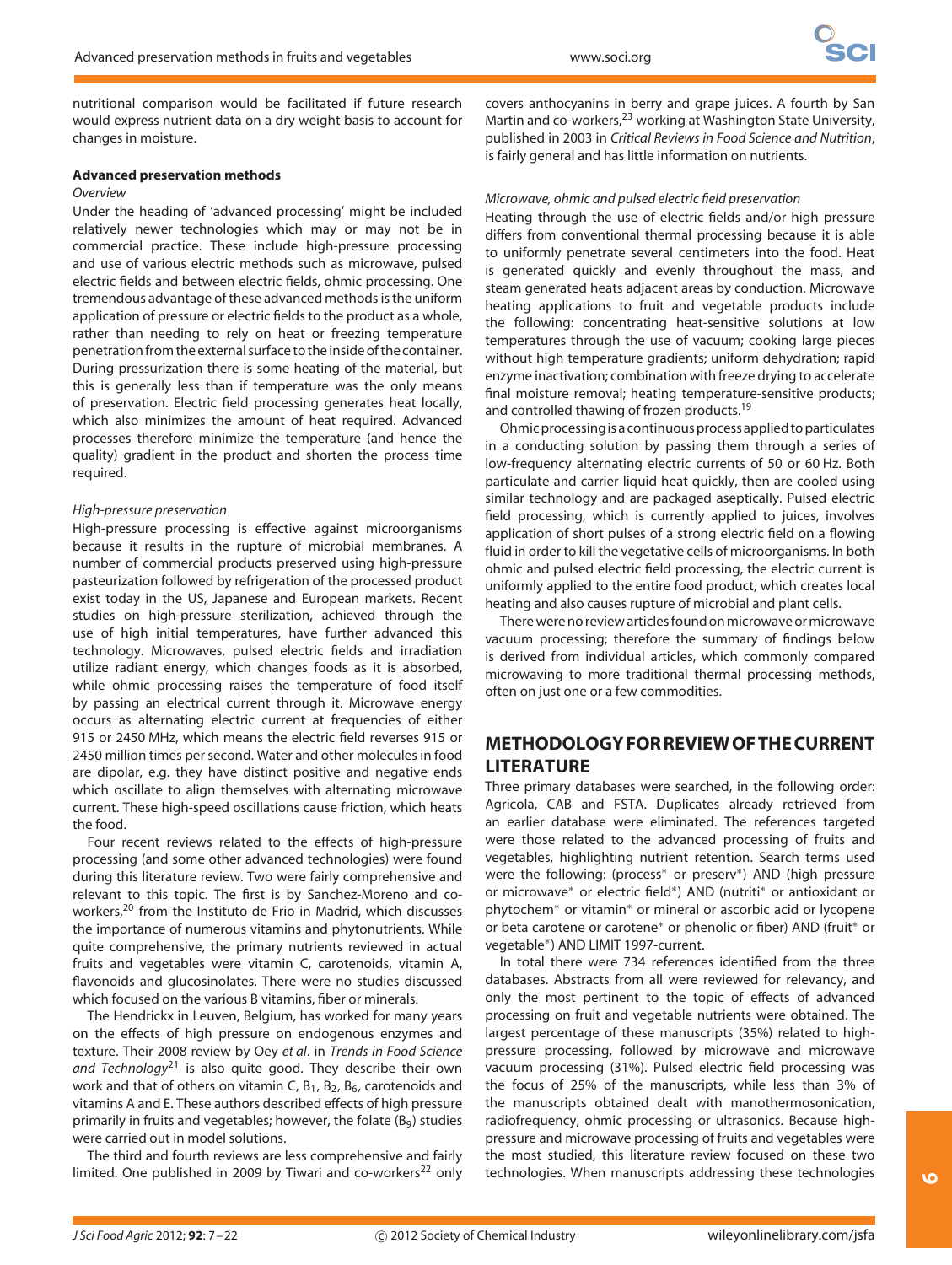nutritional comparison would be facilitated if future research would express nutrient data on a dry weight basis to account for changes in moisture.

## **Advanced preservation methods**

## *Overview*

Under the heading of 'advanced processing' might be included relatively newer technologies which may or may not be in commercial practice. These include high-pressure processing and use of various electric methods such as microwave, pulsed electric fields and between electric fields, ohmic processing. One tremendous advantage of these advanced methods is the uniform application of pressure or electric fields to the product as a whole, rather than needing to rely on heat or freezing temperature penetration from the external surface to the inside of the container. During pressurization there is some heating of the material, but this is generally less than if temperature was the only means of preservation. Electric field processing generates heat locally, which also minimizes the amount of heat required. Advanced processes therefore minimize the temperature (and hence the quality) gradient in the product and shorten the process time required.

## *High-pressure preservation*

High-pressure processing is effective against microorganisms because it results in the rupture of microbial membranes. A number of commercial products preserved using high-pressure pasteurization followed by refrigeration of the processed product exist today in the US, Japanese and European markets. Recent studies on high-pressure sterilization, achieved through the use of high initial temperatures, have further advanced this technology. Microwaves, pulsed electric fields and irradiation utilize radiant energy, which changes foods as it is absorbed, while ohmic processing raises the temperature of food itself by passing an electrical current through it. Microwave energy occurs as alternating electric current at frequencies of either 915 or 2450 MHz, which means the electric field reverses 915 or 2450 million times per second. Water and other molecules in food are dipolar, e.g. they have distinct positive and negative ends which oscillate to align themselves with alternating microwave current. These high-speed oscillations cause friction, which heats the food.

Four recent reviews related to the effects of high-pressure processing (and some other advanced technologies) were found during this literature review. Two were fairly comprehensive and relevant to this topic. The first is by Sanchez-Moreno and coworkers, $20$  from the Instituto de Frio in Madrid, which discusses the importance of numerous vitamins and phytonutrients. While quite comprehensive, the primary nutrients reviewed in actual fruits and vegetables were vitamin C, carotenoids, vitamin A, flavonoids and glucosinolates. There were no studies discussed which focused on the various B vitamins, fiber or minerals.

The Hendrickx in Leuven, Belgium, has worked for many years on the effects of high pressure on endogenous enzymes and texture. Their 2008 review by Oey *et al*. in *Trends in Food Science and Technology*<sup>21</sup> is also quite good. They describe their own work and that of others on vitamin C,  $B_1$ ,  $B_2$ ,  $B_6$ , carotenoids and vitamins A and E. These authors described effects of high pressure primarily in fruits and vegetables; however, the folate  $(B<sub>9</sub>)$  studies were carried out in model solutions.

The third and fourth reviews are less comprehensive and fairly limited. One published in 2009 by Tiwari and co-workers<sup>22</sup> only covers anthocyanins in berry and grape juices. A fourth by San Martin and co-workers,<sup>23</sup> working at Washington State University, published in 2003 in *Critical Reviews in Food Science and Nutrition*, is fairly general and has little information on nutrients.

## *Microwave, ohmic and pulsed electric field preservation*

Heating through the use of electric fields and/or high pressure differs from conventional thermal processing because it is able to uniformly penetrate several centimeters into the food. Heat is generated quickly and evenly throughout the mass, and steam generated heats adjacent areas by conduction. Microwave heating applications to fruit and vegetable products include the following: concentrating heat-sensitive solutions at low temperatures through the use of vacuum; cooking large pieces without high temperature gradients; uniform dehydration; rapid enzyme inactivation; combination with freeze drying to accelerate final moisture removal; heating temperature-sensitive products; and controlled thawing of frozen products.<sup>19</sup>

Ohmic processing is a continuous process applied to particulates in a conducting solution by passing them through a series of low-frequency alternating electric currents of 50 or 60 Hz. Both particulate and carrier liquid heat quickly, then are cooled using similar technology and are packaged aseptically. Pulsed electric field processing, which is currently applied to juices, involves application of short pulses of a strong electric field on a flowing fluid in order to kill the vegetative cells of microorganisms. In both ohmic and pulsed electric field processing, the electric current is uniformly applied to the entire food product, which creates local heating and also causes rupture of microbial and plant cells.

There were no review articles found on microwave or microwave vacuum processing; therefore the summary of findings below is derived from individual articles, which commonly compared microwaving to more traditional thermal processing methods, often on just one or a few commodities.

# **METHODOLOGY FORREVIEWOF THECURRENT LITERATURE**

Three primary databases were searched, in the following order: Agricola, CAB and FSTA. Duplicates already retrieved from an earlier database were eliminated. The references targeted were those related to the advanced processing of fruits and vegetables, highlighting nutrient retention. Search terms used were the following: (process<sup>\*</sup> or preserv<sup>\*</sup>) AND (high pressure or microwave∗ or electric field∗) AND (nutriti∗ or antioxidant or phytochem∗ or vitamin∗ or mineral or ascorbic acid or lycopene or beta carotene or carotene∗ or phenolic or fiber) AND (fruit∗ or vegetable∗) AND LIMIT 1997-current.

In total there were 734 references identified from the three databases. Abstracts from all were reviewed for relevancy, and only the most pertinent to the topic of effects of advanced processing on fruit and vegetable nutrients were obtained. The largest percentage of these manuscripts (35%) related to highpressure processing, followed by microwave and microwave vacuum processing (31%). Pulsed electric field processing was the focus of 25% of the manuscripts, while less than 3% of the manuscripts obtained dealt with manothermosonication, radiofrequency, ohmic processing or ultrasonics. Because highpressure and microwave processing of fruits and vegetables were the most studied, this literature review focused on these two technologies. When manuscripts addressing these technologies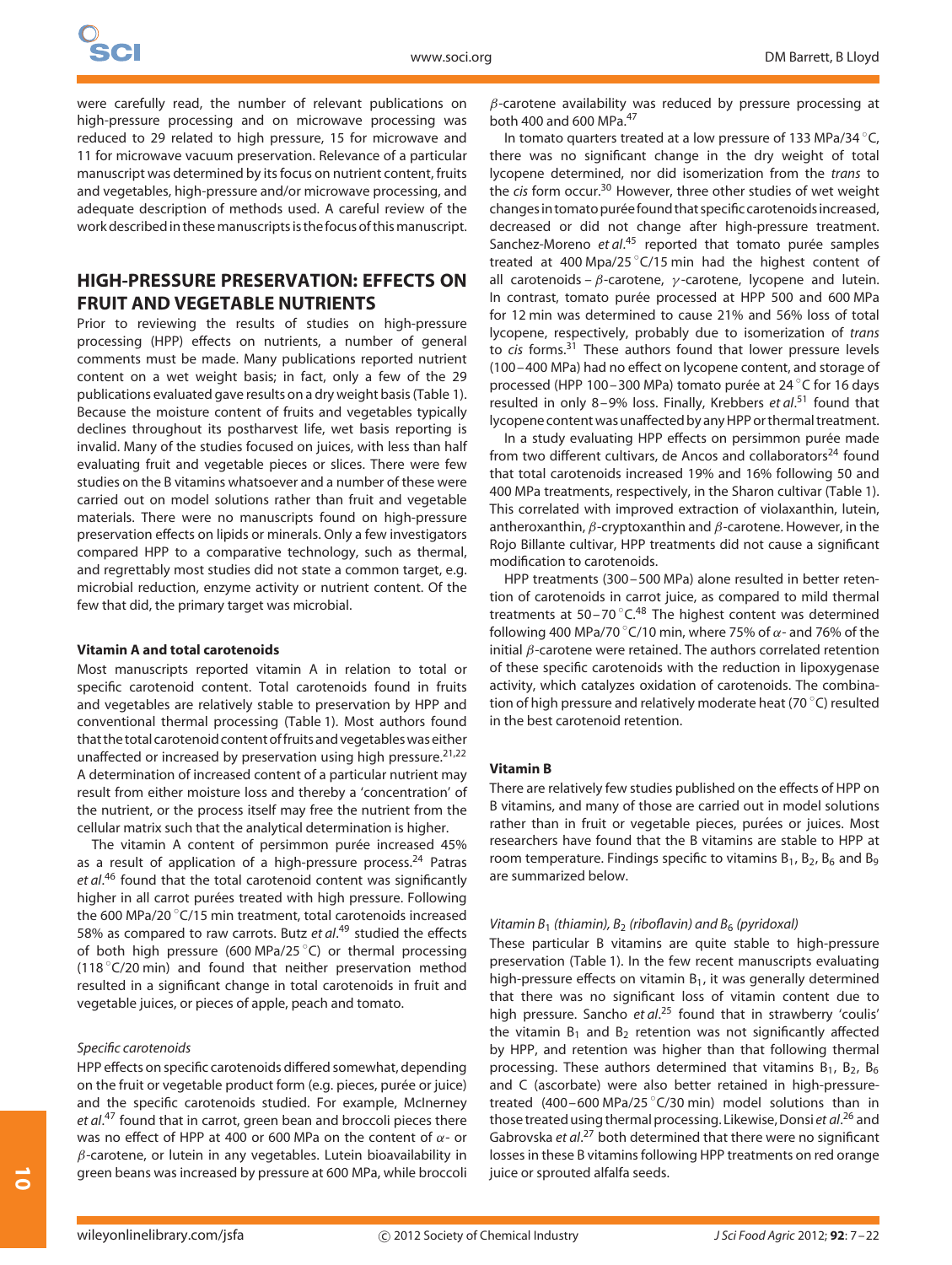were carefully read, the number of relevant publications on high-pressure processing and on microwave processing was reduced to 29 related to high pressure, 15 for microwave and 11 for microwave vacuum preservation. Relevance of a particular manuscript was determined by its focus on nutrient content, fruits and vegetables, high-pressure and/or microwave processing, and adequate description of methods used. A careful review of the work described in these manuscripts is the focus of this manuscript.

# **HIGH-PRESSURE PRESERVATION: EFFECTS ON FRUIT AND VEGETABLE NUTRIENTS**

Prior to reviewing the results of studies on high-pressure processing (HPP) effects on nutrients, a number of general comments must be made. Many publications reported nutrient content on a wet weight basis; in fact, only a few of the 29 publications evaluated gave results on a dry weight basis (Table 1). Because the moisture content of fruits and vegetables typically declines throughout its postharvest life, wet basis reporting is invalid. Many of the studies focused on juices, with less than half evaluating fruit and vegetable pieces or slices. There were few studies on the B vitamins whatsoever and a number of these were carried out on model solutions rather than fruit and vegetable materials. There were no manuscripts found on high-pressure preservation effects on lipids or minerals. Only a few investigators compared HPP to a comparative technology, such as thermal, and regrettably most studies did not state a common target, e.g. microbial reduction, enzyme activity or nutrient content. Of the few that did, the primary target was microbial.

## **Vitamin A and total carotenoids**

Most manuscripts reported vitamin A in relation to total or specific carotenoid content. Total carotenoids found in fruits and vegetables are relatively stable to preservation by HPP and conventional thermal processing (Table 1). Most authors found that the total carotenoid content of fruits and vegetables was either unaffected or increased by preservation using high pressure.<sup>21,22</sup> A determination of increased content of a particular nutrient may result from either moisture loss and thereby a 'concentration' of the nutrient, or the process itself may free the nutrient from the cellular matrix such that the analytical determination is higher.

The vitamin A content of persimmon purée increased 45% as a result of application of a high-pressure process.<sup>24</sup> Patras *et al*. <sup>46</sup> found that the total carotenoid content was significantly higher in all carrot purées treated with high pressure. Following the 600 MPa/20 ◦ C/15 min treatment, total carotenoids increased 58% as compared to raw carrots. Butz *et al*. <sup>49</sup> studied the effects of both high pressure (600 MPa/25 $^{\circ}$ C) or thermal processing (118 $\degree$ C/20 min) and found that neither preservation method resulted in a significant change in total carotenoids in fruit and vegetable juices, or pieces of apple, peach and tomato.

#### *Specific carotenoids*

HPP effects on specific carotenoids differed somewhat, depending on the fruit or vegetable product form (e.g. pieces, purée or juice) and the specific carotenoids studied. For example, McInerney *et al*. <sup>47</sup> found that in carrot, green bean and broccoli pieces there was no effect of HPP at 400 or 600 MPa on the content of *α*- or *β*-carotene, or lutein in any vegetables. Lutein bioavailability in green beans was increased by pressure at 600 MPa, while broccoli *β*-carotene availability was reduced by pressure processing at both 400 and 600 MPa.<sup>47</sup>

In tomato quarters treated at a low pressure of 133 MPa/34  $^{\circ}$ C, there was no significant change in the dry weight of total lycopene determined, nor did isomerization from the *trans* to the *cis* form occur.30 However, three other studies of wet weight changes in tomato purée found that specific carotenoids increased, decreased or did not change after high-pressure treatment. Sanchez-Moreno et al.<sup>45</sup> reported that tomato purée samples treated at 400 Mpa/25 °C/15 min had the highest content of all carotenoids – *β*-carotene, *γ* -carotene, lycopene and lutein. In contrast, tomato purée processed at HPP 500 and 600 MPa for 12 min was determined to cause 21% and 56% loss of total lycopene, respectively, probably due to isomerization of *trans* to *cis* forms.31 These authors found that lower pressure levels (100–400 MPa) had no effect on lycopene content, and storage of processed (HPP 100–300 MPa) tomato purée at 24  $^{\circ}$ C for 16 days resulted in only 8–9% loss. Finally, Krebbers *et al*. <sup>51</sup> found that lycopene content was unaffected by any HPP or thermal treatment.

In a study evaluating HPP effects on persimmon purée made from two different cultivars, de Ancos and collaborators $24$  found that total carotenoids increased 19% and 16% following 50 and 400 MPa treatments, respectively, in the Sharon cultivar (Table 1). This correlated with improved extraction of violaxanthin, lutein, antheroxanthin, *β*-cryptoxanthin and *β*-carotene. However, in the Rojo Billante cultivar, HPP treatments did not cause a significant modification to carotenoids.

HPP treatments (300–500 MPa) alone resulted in better retention of carotenoids in carrot juice, as compared to mild thermal treatments at 50–70 °C.<sup>48</sup> The highest content was determined following 400 MPa/70 ◦ C/10 min, where 75% of *α*- and 76% of the initial *β*-carotene were retained. The authors correlated retention of these specific carotenoids with the reduction in lipoxygenase activity, which catalyzes oxidation of carotenoids. The combination of high pressure and relatively moderate heat (70 °C) resulted in the best carotenoid retention.

## **Vitamin B**

There are relatively few studies published on the effects of HPP on B vitamins, and many of those are carried out in model solutions rather than in fruit or vegetable pieces, purées or juices. Most researchers have found that the B vitamins are stable to HPP at room temperature. Findings specific to vitamins  $B_1$ ,  $B_2$ ,  $B_6$  and  $B_9$ are summarized below.

## *Vitamin B*<sup>1</sup> *(thiamin), B*<sup>2</sup> *(riboflavin) and B*<sup>6</sup> *(pyridoxal)*

These particular B vitamins are quite stable to high-pressure preservation (Table 1). In the few recent manuscripts evaluating high-pressure effects on vitamin  $B<sub>1</sub>$ , it was generally determined that there was no significant loss of vitamin content due to high pressure. Sancho *et al*. <sup>25</sup> found that in strawberry 'coulis' the vitamin  $B_1$  and  $B_2$  retention was not significantly affected by HPP, and retention was higher than that following thermal processing. These authors determined that vitamins  $B_1$ ,  $B_2$ ,  $B_6$ and C (ascorbate) were also better retained in high-pressuretreated (400–600 MPa/25 °C/30 min) model solutions than in those treated using thermal processing. Likewise, Donsi *et al*. <sup>26</sup> and Gabrovska *et al*. <sup>27</sup> both determined that there were no significant losses in these B vitamins following HPP treatments on red orange juice or sprouted alfalfa seeds.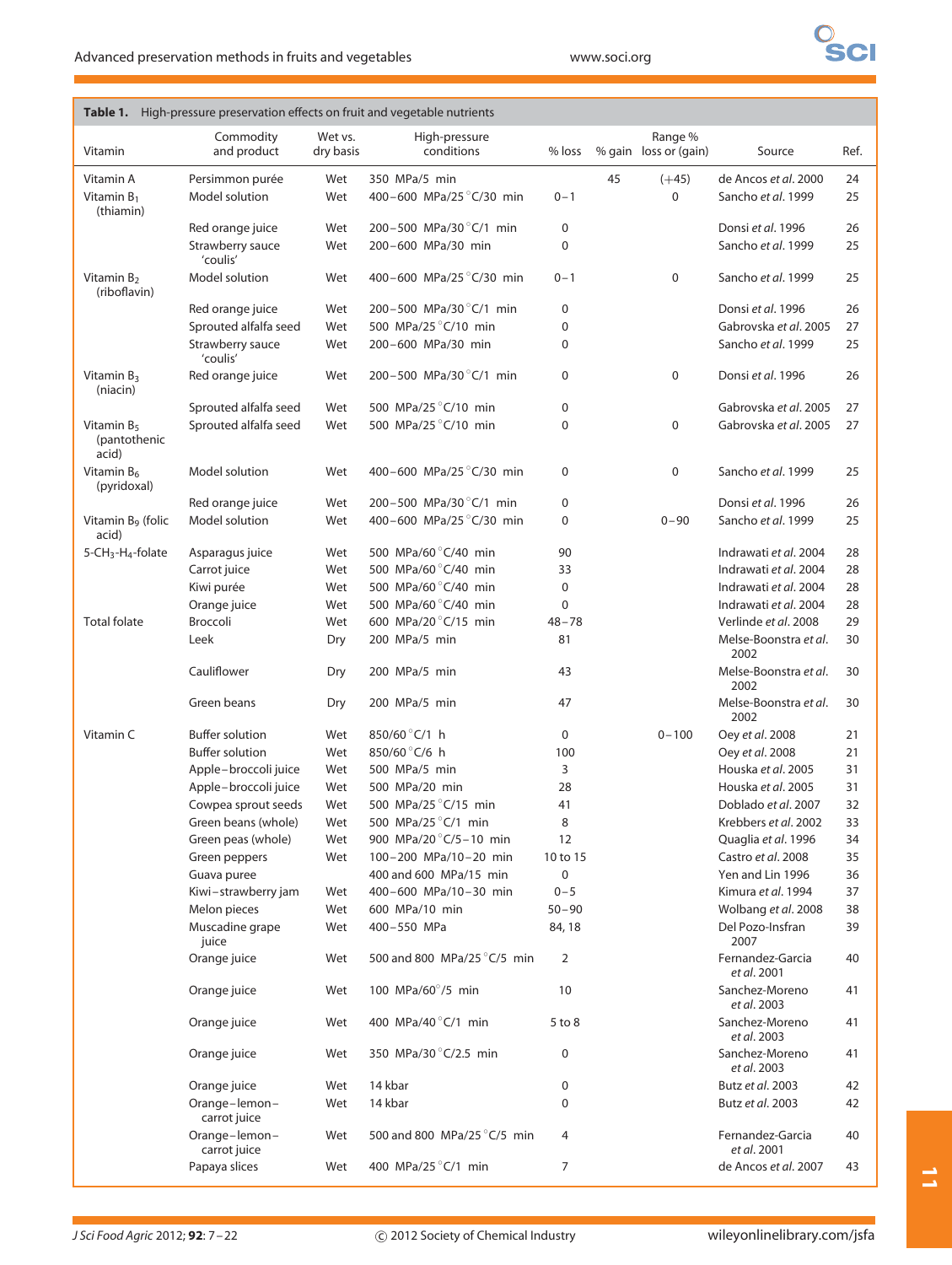| Table 1. High-pressure preservation effects on fruit and vegetable nutrients |                               |                      |                                   |             |    |                                  |                                 |      |  |
|------------------------------------------------------------------------------|-------------------------------|----------------------|-----------------------------------|-------------|----|----------------------------------|---------------------------------|------|--|
| Vitamin                                                                      | Commodity<br>and product      | Wet vs.<br>dry basis | High-pressure<br>conditions       | % loss      |    | Range %<br>% gain loss or (gain) | Source                          | Ref. |  |
| Vitamin A                                                                    | Persimmon purée               | Wet                  | 350 MPa/5 min                     |             | 45 | $(+45)$                          | de Ancos et al. 2000            | 24   |  |
| Vitamin $B_1$<br>(thiamin)                                                   | Model solution                | Wet                  | 400-600 MPa/25 °C/30 min          | $0 - 1$     |    | 0                                | Sancho et al. 1999              | 25   |  |
|                                                                              | Red orange juice              | Wet                  | 200-500 MPa/30 $^{\circ}$ C/1 min | 0           |    |                                  | Donsi et al. 1996               | 26   |  |
|                                                                              | Strawberry sauce<br>'coulis'  | Wet                  | 200-600 MPa/30 min                | 0           |    |                                  | Sancho et al. 1999              | 25   |  |
| Vitamin $B_2$<br>(riboflavin)                                                | Model solution                | Wet                  | 400-600 MPa/25 °C/30 min          | $0 - 1$     |    | 0                                | Sancho et al. 1999              | 25   |  |
|                                                                              | Red orange juice              | Wet                  | 200-500 MPa/30 $^{\circ}$ C/1 min | 0           |    |                                  | Donsi et al. 1996               | 26   |  |
|                                                                              | Sprouted alfalfa seed         | Wet                  | 500 MPa/25 °C/10 min              | 0           |    |                                  | Gabrovska et al. 2005           | 27   |  |
|                                                                              | Strawberry sauce<br>'coulis'  | Wet                  | 200-600 MPa/30 min                | 0           |    |                                  | Sancho et al. 1999              | 25   |  |
| Vitamin $B_3$<br>(niacin)                                                    | Red orange juice              | Wet                  | 200-500 MPa/30 $^{\circ}$ C/1 min | 0           |    | 0                                | Donsi et al. 1996               | 26   |  |
|                                                                              | Sprouted alfalfa seed         | Wet                  | 500 MPa/25 °C/10 min              | 0           |    |                                  | Gabrovska et al. 2005           | 27   |  |
| Vitamin $B_5$<br>(pantothenic<br>acid)                                       | Sprouted alfalfa seed         | Wet                  | 500 MPa/25 °C/10 min              | 0           |    | 0                                | Gabrovska et al. 2005           | 27   |  |
| Vitamin $B_6$<br>(pyridoxal)                                                 | Model solution                | Wet                  | 400-600 MPa/25 °C/30 min          | 0           |    | 0                                | Sancho et al. 1999              | 25   |  |
|                                                                              | Red orange juice              | Wet                  | 200-500 MPa/30 $^{\circ}$ C/1 min | 0           |    |                                  | Donsi et al. 1996               | 26   |  |
| Vitamin B <sub>9</sub> (folic<br>acid)                                       | Model solution                | Wet                  | 400-600 MPa/25 °C/30 min          | 0           |    | $0 - 90$                         | Sancho et al. 1999              | 25   |  |
| 5-CH <sub>3</sub> -H <sub>4</sub> -folate                                    | Asparagus juice               | Wet                  | 500 MPa/60 °C/40 min              | 90          |    |                                  | Indrawati et al. 2004           | 28   |  |
|                                                                              | Carrot juice                  | Wet                  | 500 MPa/60 °C/40 min              | 33          |    |                                  | Indrawati et al. 2004           | 28   |  |
|                                                                              | Kiwi purée                    | Wet                  | 500 MPa/60 °C/40 min              | $\mathbf 0$ |    |                                  | Indrawati et al. 2004           | 28   |  |
|                                                                              | Orange juice                  | Wet                  | 500 MPa/60 °C/40 min              | $\mathbf 0$ |    |                                  | Indrawati et al. 2004           | 28   |  |
| <b>Total folate</b>                                                          | Broccoli                      | Wet                  | 600 MPa/20 $^{\circ}$ C/15 min    | $48 - 78$   |    |                                  | Verlinde et al. 2008            | 29   |  |
|                                                                              | Leek                          | Dry                  | 200 MPa/5 min                     | 81          |    |                                  | Melse-Boonstra et al.<br>2002   | 30   |  |
|                                                                              | Cauliflower                   | Dry                  | 200 MPa/5 min                     | 43          |    |                                  | Melse-Boonstra et al.<br>2002   | 30   |  |
|                                                                              | Green beans                   | Dry                  | 200 MPa/5 min                     | 47          |    |                                  | Melse-Boonstra et al.<br>2002   | 30   |  |
| Vitamin C                                                                    | <b>Buffer solution</b>        | Wet                  | 850/60 $^{\circ}$ C/1 h           | 0           |    | $0 - 100$                        | Oey et al. 2008                 | 21   |  |
|                                                                              | <b>Buffer solution</b>        | Wet                  | 850/60 °C/6 h                     | 100         |    |                                  | Oey et al. 2008                 | 21   |  |
|                                                                              | Apple-broccoli juice          | Wet                  | 500 MPa/5 min                     | 3           |    |                                  | Houska et al. 2005              | 31   |  |
|                                                                              | Apple-broccoli juice          | Wet                  | 500 MPa/20 min                    | 28          |    |                                  | Houska et al. 2005              | 31   |  |
|                                                                              | Cowpea sprout seeds           | Wet                  | 500 MPa/25 °C/15 min              | 41          |    |                                  | Doblado et al. 2007             | 32   |  |
|                                                                              | Green beans (whole)           | Wet                  | 500 MPa/25 °C/1 min               | 8           |    |                                  | Krebbers et al. 2002            | 33   |  |
|                                                                              | Green peas (whole)            | Wet                  | 900 MPa/20°C/5-10 min             | 12          |    |                                  | Quaglia et al. 1996             | 34   |  |
|                                                                              | Green peppers                 | Wet                  | 100-200 MPa/10-20 min             | 10 to 15    |    |                                  | Castro et al. 2008              | 35   |  |
|                                                                              | Guava puree                   |                      | 400 and 600 MPa/15 min            | 0           |    |                                  | Yen and Lin 1996                | 36   |  |
|                                                                              | Kiwi-strawberry jam           | Wet                  | 400-600 MPa/10-30 min             | $0 - 5$     |    |                                  | Kimura et al. 1994              | 37   |  |
|                                                                              | Melon pieces                  | Wet                  | 600 MPa/10 min                    | $50 - 90$   |    |                                  | Wolbang et al. 2008             | 38   |  |
|                                                                              | Muscadine grape<br>juice      | Wet                  | 400-550 MPa                       | 84, 18      |    |                                  | Del Pozo-Insfran<br>2007        | 39   |  |
|                                                                              | Orange juice                  | Wet                  | 500 and 800 MPa/25 °C/5 min       | 2           |    |                                  | Fernandez-Garcia<br>et al. 2001 | 40   |  |
|                                                                              | Orange juice                  | Wet                  | 100 MPa/60 $\degree$ /5 min       | 10          |    |                                  | Sanchez-Moreno<br>et al. 2003   | 41   |  |
|                                                                              | Orange juice                  | Wet                  | 400 MPa/40 °C/1 min               | 5 to 8      |    |                                  | Sanchez-Moreno<br>et al. 2003   | 41   |  |
|                                                                              | Orange juice                  | Wet                  | 350 MPa/30 °C/2.5 min             | 0           |    |                                  | Sanchez-Moreno<br>et al. 2003   | 41   |  |
|                                                                              | Orange juice                  | Wet                  | 14 kbar                           | 0           |    |                                  | Butz et al. 2003                | 42   |  |
|                                                                              | Orange-lemon-<br>carrot juice | Wet                  | 14 kbar                           | 0           |    |                                  | Butz et al. 2003                | 42   |  |
|                                                                              | Orange-lemon-<br>carrot juice | Wet                  | 500 and 800 MPa/25 °C/5 min       | 4           |    |                                  | Fernandez-Garcia<br>et al. 2001 | 40   |  |
|                                                                              | Papaya slices                 | Wet                  | 400 MPa/25 °C/1 min               | 7           |    |                                  | de Ancos et al. 2007            | 43   |  |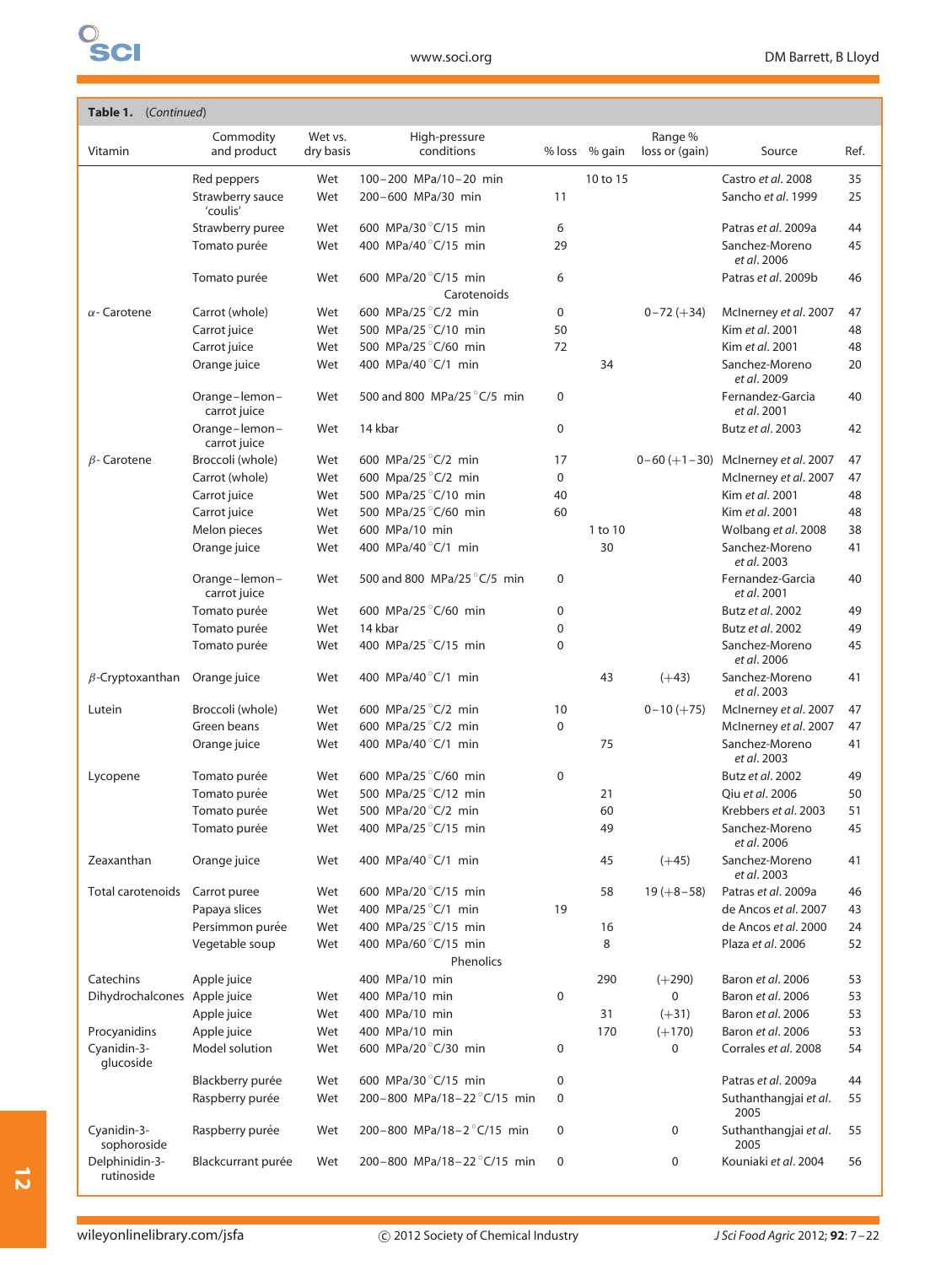| Table 1. (Continued)         |                                             |                      |                                              |              |               |                           |                                          |          |  |
|------------------------------|---------------------------------------------|----------------------|----------------------------------------------|--------------|---------------|---------------------------|------------------------------------------|----------|--|
| Vitamin                      | Commodity<br>and product                    | Wet vs.<br>dry basis | High-pressure<br>conditions                  |              | % loss % gain | Range %<br>loss or (gain) | Source                                   | Ref.     |  |
|                              | Red peppers<br>Strawberry sauce<br>'coulis' | Wet<br>Wet           | 100-200 MPa/10-20 min<br>200-600 MPa/30 min  | 11           | 10 to 15      |                           | Castro et al. 2008<br>Sancho et al. 1999 | 35<br>25 |  |
|                              | Strawberry puree<br>Tomato purée            | Wet<br>Wet           | 600 MPa/30 °C/15 min<br>400 MPa/40 °C/15 min | 6<br>29      |               |                           | Patras et al. 2009a<br>Sanchez-Moreno    | 44<br>45 |  |
|                              | Tomato purée                                | Wet                  | 600 MPa/20 °C/15 min                         | 6            |               |                           | et al. 2006<br>Patras et al. 2009b       | 46       |  |
|                              |                                             |                      | Carotenoids                                  |              |               |                           |                                          |          |  |
| $\alpha$ - Carotene          | Carrot (whole)                              | Wet                  | 600 MPa/25 $^{\circ}$ C/2 min                | 0            |               | $0 - 72 (+34)$            | McInerney et al. 2007                    | 47       |  |
|                              | Carrot juice                                | Wet                  | 500 MPa/25 °C/10 min                         | 50           |               |                           | Kim et al. 2001                          | 48       |  |
|                              | Carrot juice                                | Wet                  | 500 MPa/25 °C/60 min                         | 72           |               |                           | Kim et al. 2001                          | 48       |  |
|                              | Orange juice                                | Wet                  | 400 MPa/40 °C/1 min                          |              | 34            |                           | Sanchez-Moreno<br>et al. 2009            | 20       |  |
|                              | Orange-lemon-<br>carrot juice               | Wet                  | 500 and 800 MPa/25 °C/5 min                  | 0            |               |                           | Fernandez-Garcia<br>et al. 2001          | 40       |  |
|                              | Orange-lemon-<br>carrot juice               | Wet                  | 14 kbar                                      | 0            |               |                           | Butz et al. 2003                         | 42       |  |
| $\beta$ - Carotene           | Broccoli (whole)                            | Wet                  | 600 MPa/25 $^{\circ}$ C/2 min                | 17           |               |                           | 0-60 (+1-30) McInerney et al. 2007       | 47       |  |
|                              | Carrot (whole)                              | Wet                  | 600 Mpa/25 $\degree$ C/2 min                 | $\mathbf 0$  |               |                           | McInerney et al. 2007                    | 47       |  |
|                              | Carrot juice                                | Wet                  | 500 MPa/25 °C/10 min                         | 40           |               |                           | Kim et al. 2001                          | 48       |  |
|                              | Carrot juice                                | Wet                  | 500 MPa/25 °C/60 min                         | 60           |               |                           | Kim et al. 2001                          | 48       |  |
|                              | Melon pieces                                | Wet                  | 600 MPa/10 min                               |              | 1 to 10       |                           | Wolbang et al. 2008                      | 38       |  |
|                              | Orange juice                                | Wet                  | 400 MPa/40 °C/1 min                          |              | 30            |                           | Sanchez-Moreno<br>et al. 2003            | 41       |  |
|                              | Orange-lemon-<br>carrot juice               | Wet                  | 500 and 800 MPa/25 °C/5 min                  | 0            |               |                           | Fernandez-Garcia<br>et al. 2001          | 40       |  |
|                              | Tomato purée                                | Wet                  | 600 MPa/25 °C/60 min                         | 0            |               |                           | Butz et al. 2002                         | 49       |  |
|                              | Tomato purée                                | Wet                  | 14 kbar                                      | 0            |               |                           | Butz et al. 2002                         | 49       |  |
|                              | Tomato purée                                | Wet                  | 400 MPa/25 °C/15 min                         | $\mathbf{0}$ |               |                           | Sanchez-Moreno<br>et al. 2006            | 45       |  |
| $\beta$ -Cryptoxanthan       | Orange juice                                | Wet                  | 400 MPa/40 °C/1 min                          |              | 43            | $(+43)$                   | Sanchez-Moreno<br>et al. 2003            | 41       |  |
| Lutein                       | Broccoli (whole)                            | Wet                  | 600 MPa/25 $\degree$ C/2 min                 | 10           |               | $0 - 10 (+75)$            | McInerney et al. 2007                    | 47       |  |
|                              | Green beans                                 | Wet                  | 600 MPa/25 °C/2 min                          | $\mathbf{0}$ |               |                           | McInerney et al. 2007                    | 47       |  |
|                              | Orange juice                                | Wet                  | 400 MPa/40 °C/1 min                          |              | 75            |                           | Sanchez-Moreno<br>et al. 2003            | 41       |  |
| Lycopene                     | Tomato purée                                | Wet                  | 600 MPa/25 °C/60 min                         | 0            |               |                           | Butz et al. 2002                         | 49       |  |
|                              | Tomato purée                                | Wet                  | 500 MPa/25 °C/12 min                         |              | 21            |                           | Qiu et al. 2006                          | 50       |  |
|                              | Tomato purée                                | Wet                  | 500 MPa/20 °C/2 min                          |              | 60            |                           | Krebbers et al. 2003                     | 51       |  |
|                              | Tomato purée                                | Wet                  | 400 MPa/25 °C/15 min                         |              | 49            |                           | Sanchez-Moreno<br>et al. 2006            | 45       |  |
| Zeaxanthan                   | Orange juice                                | Wet                  | 400 MPa/40 °C/1 min                          |              | 45            | $(+45)$                   | Sanchez-Moreno<br>et al. 2003            | 41       |  |
| Total carotenoids            | Carrot puree                                | Wet                  | 600 MPa/20 °C/15 min                         |              | 58            | $19 (+8-58)$              | Patras et al. 2009a                      | 46       |  |
|                              | Papaya slices                               | Wet                  | 400 MPa/25 °C/1 min                          | 19           |               |                           | de Ancos et al. 2007                     | 43       |  |
|                              | Persimmon purée                             | Wet                  | 400 MPa/25 °C/15 min                         |              | 16            |                           | de Ancos et al. 2000                     | 24       |  |
|                              | Vegetable soup                              | Wet                  | 400 MPa/60 °C/15 min<br>Phenolics            |              | 8             |                           | Plaza et al. 2006                        | 52       |  |
| Catechins                    | Apple juice                                 |                      | 400 MPa/10 min                               |              | 290           | $(+290)$                  | Baron et al. 2006                        | 53       |  |
| Dihydrochalcones Apple juice |                                             | Wet                  | 400 MPa/10 min                               | 0            |               | 0                         | Baron et al. 2006                        | 53       |  |
|                              | Apple juice                                 | Wet                  | 400 MPa/10 min                               |              | 31            | $(+31)$                   | Baron et al. 2006                        | 53       |  |
| Procyanidins                 | Apple juice                                 | Wet                  | 400 MPa/10 min                               |              | 170           | $(+170)$                  | Baron et al. 2006                        | 53       |  |
| Cyanidin-3-<br>glucoside     | Model solution                              | Wet                  | 600 MPa/20 °C/30 min                         | $\mathbf 0$  |               | 0                         | Corrales et al. 2008                     | 54       |  |
|                              | Blackberry purée                            | Wet                  | 600 MPa/30 °C/15 min                         | 0            |               |                           | Patras et al. 2009a                      | 44       |  |
|                              | Raspberry purée                             | Wet                  | 200-800 MPa/18-22 °C/15 min                  | 0            |               |                           | Suthanthangjai et al.<br>2005            | 55       |  |
| Cyanidin-3-<br>sophoroside   | Raspberry purée                             | Wet                  | 200-800 MPa/18-2°C/15 min                    | 0            |               | 0                         | Suthanthangjai et al.<br>2005            | 55       |  |
| Delphinidin-3-<br>rutinoside | Blackcurrant purée                          | Wet                  | 200-800 MPa/18-22 °C/15 min                  | 0            |               | 0                         | Kouniaki et al. 2004                     | 56       |  |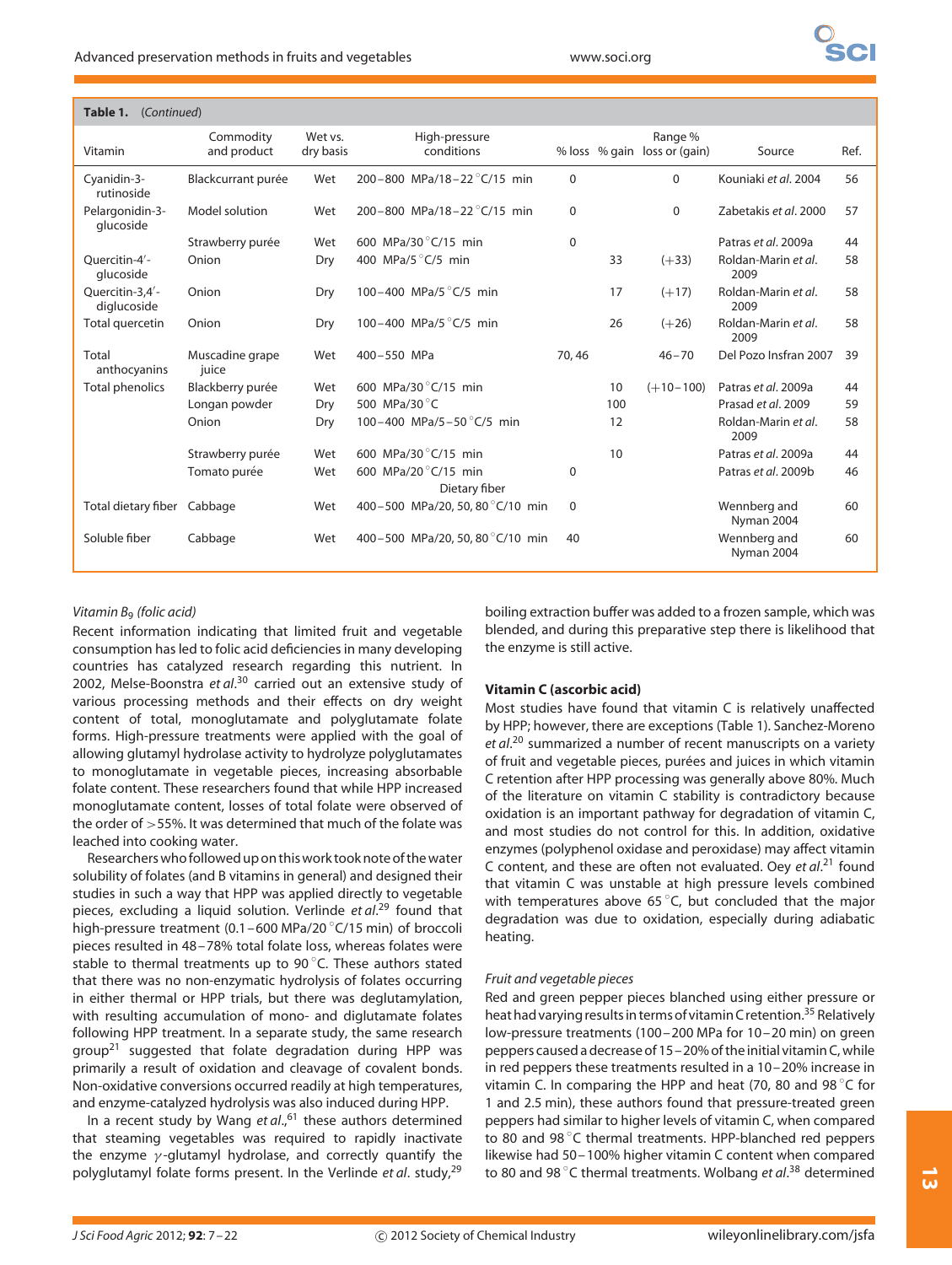| Table 1.<br>(Continued)        |                          |                      |                                            |             |     |                                         |                             |      |
|--------------------------------|--------------------------|----------------------|--------------------------------------------|-------------|-----|-----------------------------------------|-----------------------------|------|
| Vitamin                        | Commodity<br>and product | Wet vs.<br>dry basis | High-pressure<br>conditions                |             |     | Range %<br>% loss % gain loss or (gain) | Source                      | Ref. |
| Cyanidin-3-<br>rutinoside      | Blackcurrant purée       | Wet                  | 200-800 MPa/18-22 °C/15 min                | $\Omega$    |     | $\Omega$                                | Kouniaki et al. 2004        | 56   |
| Pelargonidin-3-<br>glucoside   | Model solution           | Wet                  | 200-800 MPa/18-22 °C/15 min                | $\mathbf 0$ |     | 0                                       | Zabetakis et al. 2000       | 57   |
|                                | Strawberry purée         | Wet                  | 600 MPa/30 $^{\circ}$ C/15 min             | $\Omega$    |     |                                         | Patras et al. 2009a         | 44   |
| Ouercitin-4'-<br>glucoside     | Onion                    | Dry                  | 400 MPa/5 °C/5 min                         |             | 33  | $(+33)$                                 | Roldan-Marin et al.<br>2009 | 58   |
| Quercitin-3,4'-<br>diglucoside | Onion                    | Dry                  | 100-400 MPa/5 $^{\circ}$ C/5 min           |             | 17  | $(+17)$                                 | Roldan-Marin et al.<br>2009 | 58   |
| Total quercetin                | Onion                    | Dry                  | 100-400 MPa/5 $^{\circ}$ C/5 min           |             | 26  | $(+26)$                                 | Roldan-Marin et al.<br>2009 | 58   |
| Total<br>anthocyanins          | Muscadine grape<br>juice | Wet                  | 400-550 MPa                                | 70,46       |     | $46 - 70$                               | Del Pozo Insfran 2007       | 39   |
| <b>Total phenolics</b>         | Blackberry purée         | Wet                  | 600 MPa/30 $^{\circ}$ C/15 min             |             | 10  | $(+10 - 100)$                           | Patras et al. 2009a         | 44   |
|                                | Longan powder            | Dry                  | 500 MPa/30 °C                              |             | 100 |                                         | Prasad et al. 2009          | 59   |
|                                | Onion                    | Dry                  | 100-400 MPa/5-50 $^{\circ}$ C/5 min        |             | 12  |                                         | Roldan-Marin et al.<br>2009 | 58   |
|                                | Strawberry purée         | Wet                  | 600 MPa/30 $^{\circ}$ C/15 min             |             | 10  |                                         | Patras et al. 2009a         | 44   |
|                                | Tomato purée             | Wet                  | 600 MPa/20 °C/15 min                       | 0           |     |                                         | Patras et al. 2009b         | 46   |
|                                |                          |                      | Dietary fiber                              |             |     |                                         |                             |      |
| Total dietary fiber            | Cabbage                  | Wet                  | 400-500 MPa/20, 50, 80 $^{\circ}$ C/10 min | 0           |     |                                         | Wennberg and<br>Nyman 2004  | 60   |
| Soluble fiber                  | Cabbage                  | Wet                  | 400-500 MPa/20, 50, 80 $^{\circ}$ C/10 min | 40          |     |                                         | Wennberg and<br>Nyman 2004  | 60   |

## *Vitamin B*<sup>9</sup> *(folic acid)*

Recent information indicating that limited fruit and vegetable consumption has led to folic acid deficiencies in many developing countries has catalyzed research regarding this nutrient. In 2002, Melse-Boonstra et al.<sup>30</sup> carried out an extensive study of various processing methods and their effects on dry weight content of total, monoglutamate and polyglutamate folate forms. High-pressure treatments were applied with the goal of allowing glutamyl hydrolase activity to hydrolyze polyglutamates to monoglutamate in vegetable pieces, increasing absorbable folate content. These researchers found that while HPP increased monoglutamate content, losses of total folate were observed of the order of *>*55%. It was determined that much of the folate was leached into cooking water.

Researchers who followed up on this work took note of the water solubility of folates (and B vitamins in general) and designed their studies in such a way that HPP was applied directly to vegetable pieces, excluding a liquid solution. Verlinde *et al*. <sup>29</sup> found that high-pressure treatment (0.1–600 MPa/20 °C/15 min) of broccoli pieces resulted in 48–78% total folate loss, whereas folates were stable to thermal treatments up to 90 $^{\circ}$ C. These authors stated that there was no non-enzymatic hydrolysis of folates occurring in either thermal or HPP trials, but there was deglutamylation, with resulting accumulation of mono- and diglutamate folates following HPP treatment. In a separate study, the same research  $q$  suggested that folate degradation during HPP was primarily a result of oxidation and cleavage of covalent bonds. Non-oxidative conversions occurred readily at high temperatures, and enzyme-catalyzed hydrolysis was also induced during HPP.

In a recent study by Wang *et al.*<sup>61</sup> these authors determined that steaming vegetables was required to rapidly inactivate the enzyme *γ* -glutamyl hydrolase, and correctly quantify the polyglutamyl folate forms present. In the Verlinde *et al*. study,29

boiling extraction buffer was added to a frozen sample, which was blended, and during this preparative step there is likelihood that the enzyme is still active.

# **Vitamin C (ascorbic acid)**

Most studies have found that vitamin C is relatively unaffected by HPP; however, there are exceptions (Table 1). Sanchez-Moreno *et al*. <sup>20</sup> summarized a number of recent manuscripts on a variety of fruit and vegetable pieces, purées and juices in which vitamin C retention after HPP processing was generally above 80%. Much of the literature on vitamin C stability is contradictory because oxidation is an important pathway for degradation of vitamin C, and most studies do not control for this. In addition, oxidative enzymes (polyphenol oxidase and peroxidase) may affect vitamin C content, and these are often not evaluated. Oey *et al*. <sup>21</sup> found that vitamin C was unstable at high pressure levels combined with temperatures above 65  $^\circ$ C, but concluded that the major degradation was due to oxidation, especially during adiabatic heating.

## *Fruit and vegetable pieces*

Red and green pepper pieces blanched using either pressure or heat had varying results in terms of vitamin C retention.<sup>35</sup> Relatively low-pressure treatments (100–200 MPa for 10–20 min) on green peppers caused a decrease of 15–20% of the initial vitamin C, while in red peppers these treatments resulted in a 10–20% increase in vitamin C. In comparing the HPP and heat (70, 80 and 98 $^{\circ}$ C for 1 and 2.5 min), these authors found that pressure-treated green peppers had similar to higher levels of vitamin C, when compared to 80 and 98  $^{\circ}$ C thermal treatments. HPP-blanched red peppers likewise had 50–100% higher vitamin C content when compared to 80 and 98 ◦ C thermal treatments. Wolbang *et al*. <sup>38</sup> determined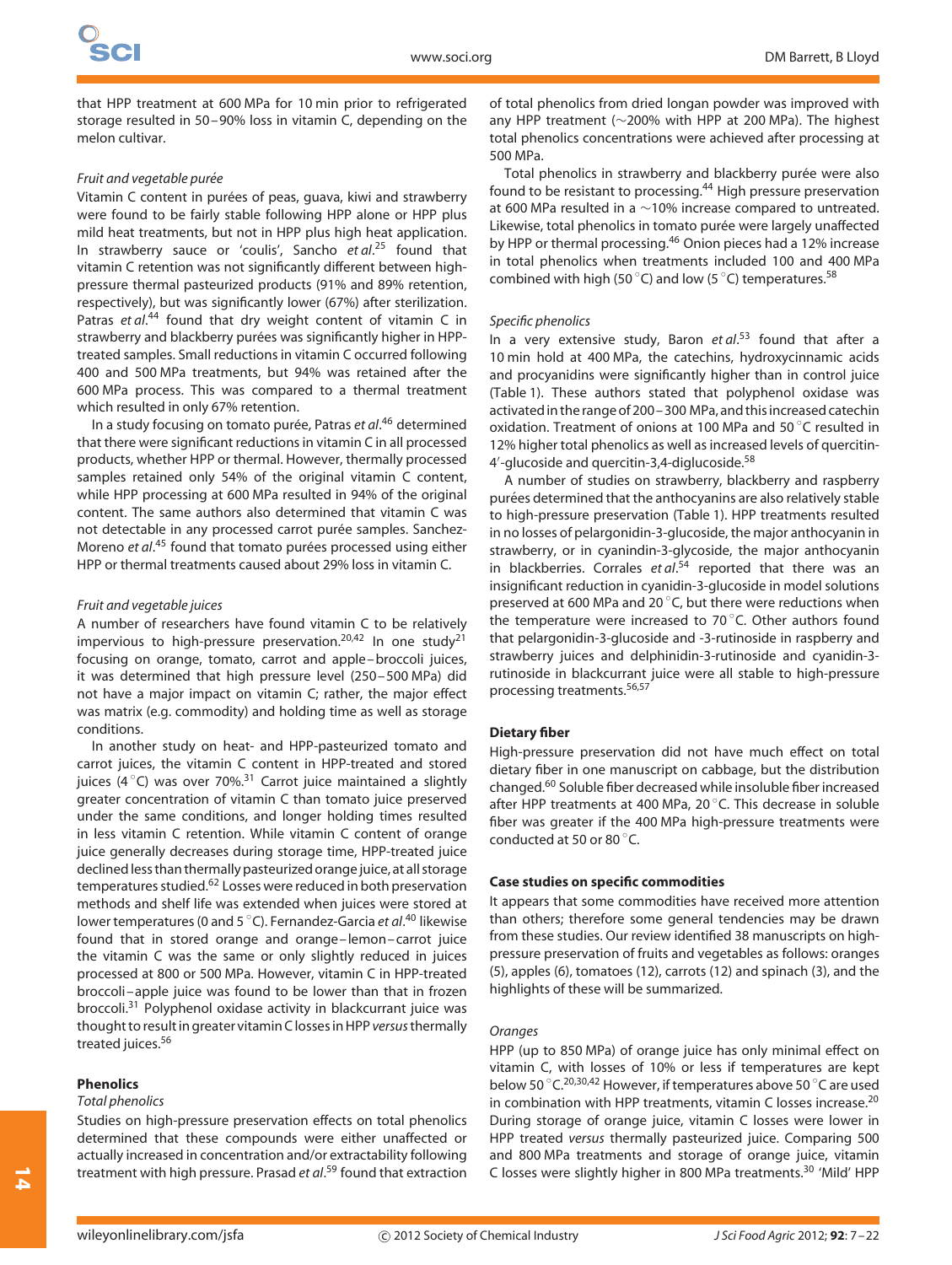that HPP treatment at 600 MPa for 10 min prior to refrigerated storage resulted in 50–90% loss in vitamin C, depending on the melon cultivar.

#### *Fruit and vegetable purée*

Vitamin C content in purées of peas, guava, kiwi and strawberry were found to be fairly stable following HPP alone or HPP plus mild heat treatments, but not in HPP plus high heat application. In strawberry sauce or 'coulis', Sancho *et al*. <sup>25</sup> found that vitamin C retention was not significantly different between highpressure thermal pasteurized products (91% and 89% retention, respectively), but was significantly lower (67%) after sterilization. Patras et al.<sup>44</sup> found that dry weight content of vitamin C in strawberry and blackberry purées was significantly higher in HPPtreated samples. Small reductions in vitamin C occurred following 400 and 500 MPa treatments, but 94% was retained after the 600 MPa process. This was compared to a thermal treatment which resulted in only 67% retention.

In a study focusing on tomato purée, Patras *et al*.<sup>46</sup> determined that there were significant reductions in vitamin C in all processed products, whether HPP or thermal. However, thermally processed samples retained only 54% of the original vitamin C content, while HPP processing at 600 MPa resulted in 94% of the original content. The same authors also determined that vitamin C was not detectable in any processed carrot purée samples. Sanchez-Moreno et al.<sup>45</sup> found that tomato purées processed using either HPP or thermal treatments caused about 29% loss in vitamin C.

#### *Fruit and vegetable juices*

A number of researchers have found vitamin C to be relatively impervious to high-pressure preservation.<sup>20,42</sup> In one study<sup>21</sup> focusing on orange, tomato, carrot and apple–broccoli juices, it was determined that high pressure level (250–500 MPa) did not have a major impact on vitamin C; rather, the major effect was matrix (e.g. commodity) and holding time as well as storage conditions.

In another study on heat- and HPP-pasteurized tomato and carrot juices, the vitamin C content in HPP-treated and stored juices (4 °C) was over 70%.<sup>31</sup> Carrot juice maintained a slightly greater concentration of vitamin C than tomato juice preserved under the same conditions, and longer holding times resulted in less vitamin C retention. While vitamin C content of orange juice generally decreases during storage time, HPP-treated juice declined less than thermally pasteurized orange juice, at all storage temperatures studied.62 Losses were reduced in both preservation methods and shelf life was extended when juices were stored at lower temperatures (0 and 5 ◦ C). Fernandez-Garcia *et al*. <sup>40</sup> likewise found that in stored orange and orange–lemon–carrot juice the vitamin C was the same or only slightly reduced in juices processed at 800 or 500 MPa. However, vitamin C in HPP-treated broccoli–apple juice was found to be lower than that in frozen broccoli.31 Polyphenol oxidase activity in blackcurrant juice was thought to result in greater vitamin C losses in HPP *versus*thermally treated juices.<sup>56</sup>

## **Phenolics**

#### *Total phenolics*

Studies on high-pressure preservation effects on total phenolics determined that these compounds were either unaffected or actually increased in concentration and/or extractability following treatment with high pressure. Prasad *et al*. <sup>59</sup> found that extraction

of total phenolics from dried longan powder was improved with any HPP treatment (∼200% with HPP at 200 MPa). The highest total phenolics concentrations were achieved after processing at 500 MPa.

Total phenolics in strawberry and blackberry purée were also found to be resistant to processing.<sup>44</sup> High pressure preservation at 600 MPa resulted in a ∼10% increase compared to untreated. Likewise, total phenolics in tomato purée were largely unaffected by HPP or thermal processing.46 Onion pieces had a 12% increase in total phenolics when treatments included 100 and 400 MPa combined with high (50 $^{\circ}$ C) and low (5 $^{\circ}$ C) temperatures.<sup>58</sup>

## *Specific phenolics*

In a very extensive study, Baron *et al*. <sup>53</sup> found that after a 10 min hold at 400 MPa, the catechins, hydroxycinnamic acids and procyanidins were significantly higher than in control juice (Table 1). These authors stated that polyphenol oxidase was activated in the range of 200–300 MPa, and this increased catechin oxidation. Treatment of onions at 100 MPa and 50 ◦ C resulted in 12% higher total phenolics as well as increased levels of quercitin-4'-glucoside and quercitin-3,4-diglucoside.<sup>58</sup>

A number of studies on strawberry, blackberry and raspberry purées determined that the anthocyanins are also relatively stable to high-pressure preservation (Table 1). HPP treatments resulted in no losses of pelargonidin-3-glucoside, the major anthocyanin in strawberry, or in cyanindin-3-glycoside, the major anthocyanin in blackberries. Corrales et al.<sup>54</sup> reported that there was an insignificant reduction in cyanidin-3-glucoside in model solutions preserved at 600 MPa and 20 $^{\circ}$ C, but there were reductions when the temperature were increased to 70 $^{\circ}$ C. Other authors found that pelargonidin-3-glucoside and -3-rutinoside in raspberry and strawberry juices and delphinidin-3-rutinoside and cyanidin-3 rutinoside in blackcurrant juice were all stable to high-pressure processing treatments.56,57

#### **Dietary fiber**

High-pressure preservation did not have much effect on total dietary fiber in one manuscript on cabbage, but the distribution changed.60 Soluble fiber decreased while insoluble fiber increased after HPP treatments at 400 MPa, 20 °C. This decrease in soluble fiber was greater if the 400 MPa high-pressure treatments were conducted at 50 or 80 $^{\circ}$ C.

#### **Case studies on specific commodities**

It appears that some commodities have received more attention than others; therefore some general tendencies may be drawn from these studies. Our review identified 38 manuscripts on highpressure preservation of fruits and vegetables as follows: oranges (5), apples (6), tomatoes (12), carrots (12) and spinach (3), and the highlights of these will be summarized.

## *Oranges*

HPP (up to 850 MPa) of orange juice has only minimal effect on vitamin C, with losses of 10% or less if temperatures are kept below 50 °C.<sup>20,30,42</sup> However, if temperatures above 50 °C are used in combination with HPP treatments, vitamin C losses increase. $20$ During storage of orange juice, vitamin C losses were lower in HPP treated *versus* thermally pasteurized juice. Comparing 500 and 800 MPa treatments and storage of orange juice, vitamin C losses were slightly higher in 800 MPa treatments.30 'Mild' HPP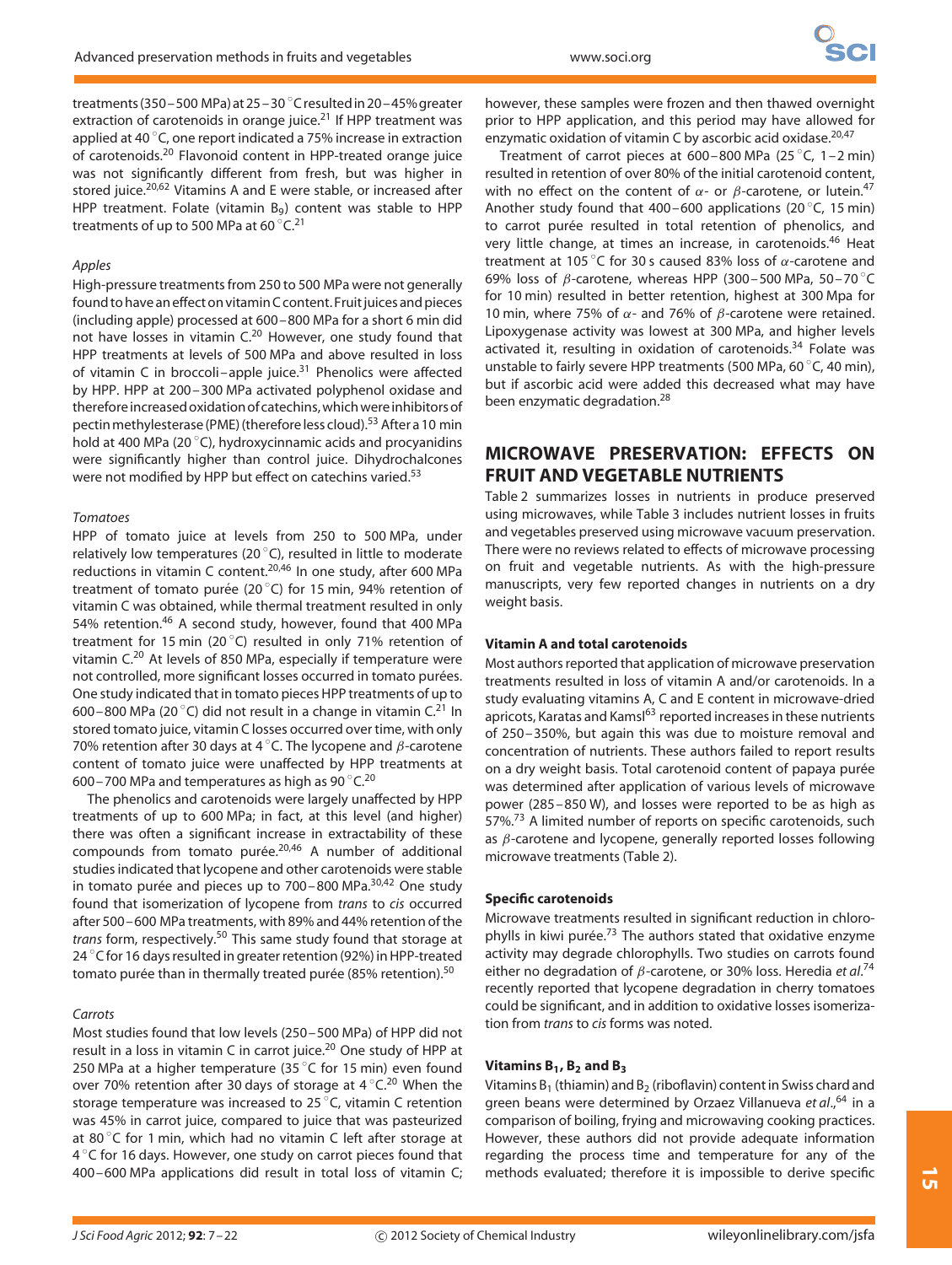treatments (350–500 MPa) at 25–30 ◦ C resulted in 20–45% greater extraction of carotenoids in orange juice.<sup>21</sup> If HPP treatment was applied at 40  $^{\circ}$ C, one report indicated a 75% increase in extraction of carotenoids.20 Flavonoid content in HPP-treated orange juice was not significantly different from fresh, but was higher in stored juice.<sup>20,62</sup> Vitamins A and E were stable, or increased after HPP treatment. Folate (vitamin  $B_9$ ) content was stable to HPP treatments of up to 500 MPa at 60  $^{\circ}$ C.<sup>21</sup>

# *Apples*

High-pressure treatments from 250 to 500 MPa were not generally found to have an effect on vitamin C content. Fruit juices and pieces (including apple) processed at 600–800 MPa for a short 6 min did not have losses in vitamin  $C<sup>20</sup>$  However, one study found that HPP treatments at levels of 500 MPa and above resulted in loss of vitamin C in broccoli-apple juice.<sup>31</sup> Phenolics were affected by HPP. HPP at 200–300 MPa activated polyphenol oxidase and therefore increased oxidation of catechins, which were inhibitors of pectin methylesterase (PME) (therefore less cloud).<sup>53</sup> After a 10 min hold at 400 MPa (20  $^{\circ}$ C), hydroxycinnamic acids and procyanidins were significantly higher than control juice. Dihydrochalcones were not modified by HPP but effect on catechins varied.<sup>53</sup>

## *Tomatoes*

HPP of tomato juice at levels from 250 to 500 MPa, under relatively low temperatures (20 $^{\circ}$ C), resulted in little to moderate reductions in vitamin C content.20,46 In one study, after 600 MPa treatment of tomato purée (20 $^{\circ}$ C) for 15 min, 94% retention of vitamin C was obtained, while thermal treatment resulted in only 54% retention.<sup>46</sup> A second study, however, found that 400 MPa treatment for 15 min (20 $^\circ$ C) resulted in only 71% retention of vitamin C.<sup>20</sup> At levels of 850 MPa, especially if temperature were not controlled, more significant losses occurred in tomato purées. One study indicated that in tomato pieces HPP treatments of up to 600–800 MPa (20 $^{\circ}$ C) did not result in a change in vitamin C. $^{21}$  In stored tomato juice, vitamin C losses occurred over time, with only 70% retention after 30 days at 4 ◦ C. The lycopene and *β*-carotene content of tomato juice were unaffected by HPP treatments at 600–700 MPa and temperatures as high as 90  $^{\circ}$ C. $^{20}$ 

The phenolics and carotenoids were largely unaffected by HPP treatments of up to 600 MPa; in fact, at this level (and higher) there was often a significant increase in extractability of these compounds from tomato purée.<sup>20,46</sup> A number of additional studies indicated that lycopene and other carotenoids were stable in tomato purée and pieces up to  $700-800$  MPa. $30,42$  One study found that isomerization of lycopene from *trans* to *cis* occurred after 500–600 MPa treatments, with 89% and 44% retention of the *trans* form, respectively.50 This same study found that storage at 24  $^\circ$ C for 16 days resulted in greater retention (92%) in HPP-treated tomato purée than in thermally treated purée (85% retention).<sup>50</sup>

# *Carrots*

Most studies found that low levels (250–500 MPa) of HPP did not result in a loss in vitamin C in carrot juice.<sup>20</sup> One study of HPP at 250 MPa at a higher temperature (35  $^{\circ}$ C for 15 min) even found over 70% retention after 30 days of storage at 4  $^{\circ}$  C.<sup>20</sup> When the storage temperature was increased to 25  $^{\circ}$ C, vitamin C retention was 45% in carrot juice, compared to juice that was pasteurized at 80  $^\circ$ C for 1 min, which had no vitamin C left after storage at 4  $^{\circ}$ C for 16 days. However, one study on carrot pieces found that 400–600 MPa applications did result in total loss of vitamin C;

however, these samples were frozen and then thawed overnight prior to HPP application, and this period may have allowed for enzymatic oxidation of vitamin C by ascorbic acid oxidase.<sup>20,47</sup>

Treatment of carrot pieces at 600–800 MPa (25 $^{\circ}$ C, 1–2 min) resulted in retention of over 80% of the initial carotenoid content, with no effect on the content of  $\alpha$ - or  $\beta$ -carotene, or lutein.<sup>47</sup> Another study found that 400–600 applications (20 $^{\circ}$ C, 15 min) to carrot purée resulted in total retention of phenolics, and very little change, at times an increase, in carotenoids.<sup>46</sup> Heat treatment at 105 ◦ C for 30 s caused 83% loss of *α*-carotene and 69% loss of  $\beta$ -carotene, whereas HPP (300–500 MPa, 50–70  $^\circ$ C for 10 min) resulted in better retention, highest at 300 Mpa for 10 min, where 75% of *α*- and 76% of *β*-carotene were retained. Lipoxygenase activity was lowest at 300 MPa, and higher levels activated it, resulting in oxidation of carotenoids.<sup>34</sup> Folate was unstable to fairly severe HPP treatments (500 MPa, 60  $^\circ$ C, 40 min), but if ascorbic acid were added this decreased what may have been enzymatic degradation.<sup>28</sup>

# **MICROWAVE PRESERVATION: EFFECTS ON FRUIT AND VEGETABLE NUTRIENTS**

Table 2 summarizes losses in nutrients in produce preserved using microwaves, while Table 3 includes nutrient losses in fruits and vegetables preserved using microwave vacuum preservation. There were no reviews related to effects of microwave processing on fruit and vegetable nutrients. As with the high-pressure manuscripts, very few reported changes in nutrients on a dry weight basis.

## **Vitamin A and total carotenoids**

Most authors reported that application of microwave preservation treatments resulted in loss of vitamin A and/or carotenoids. In a study evaluating vitamins A, C and E content in microwave-dried apricots, Karatas and Kamsl<sup>63</sup> reported increases in these nutrients of 250–350%, but again this was due to moisture removal and concentration of nutrients. These authors failed to report results on a dry weight basis. Total carotenoid content of papaya purée was determined after application of various levels of microwave power (285–850 W), and losses were reported to be as high as 57%.<sup>73</sup> A limited number of reports on specific carotenoids, such as *β*-carotene and lycopene, generally reported losses following microwave treatments (Table 2).

# **Specific carotenoids**

Microwave treatments resulted in significant reduction in chlorophylls in kiwi purée.<sup>73</sup> The authors stated that oxidative enzyme activity may degrade chlorophylls. Two studies on carrots found either no degradation of *β*-carotene, or 30% loss. Heredia *et al*. 74 recently reported that lycopene degradation in cherry tomatoes could be significant, and in addition to oxidative losses isomerization from *trans* to *cis* forms was noted.

# Vitamins  $B_1$ ,  $B_2$  and  $B_3$

Vitamins  $B_1$  (thiamin) and  $B_2$  (riboflavin) content in Swiss chard and green beans were determined by Orzaez Villanueva et al.,<sup>64</sup> in a comparison of boiling, frying and microwaving cooking practices. However, these authors did not provide adequate information regarding the process time and temperature for any of the methods evaluated; therefore it is impossible to derive specific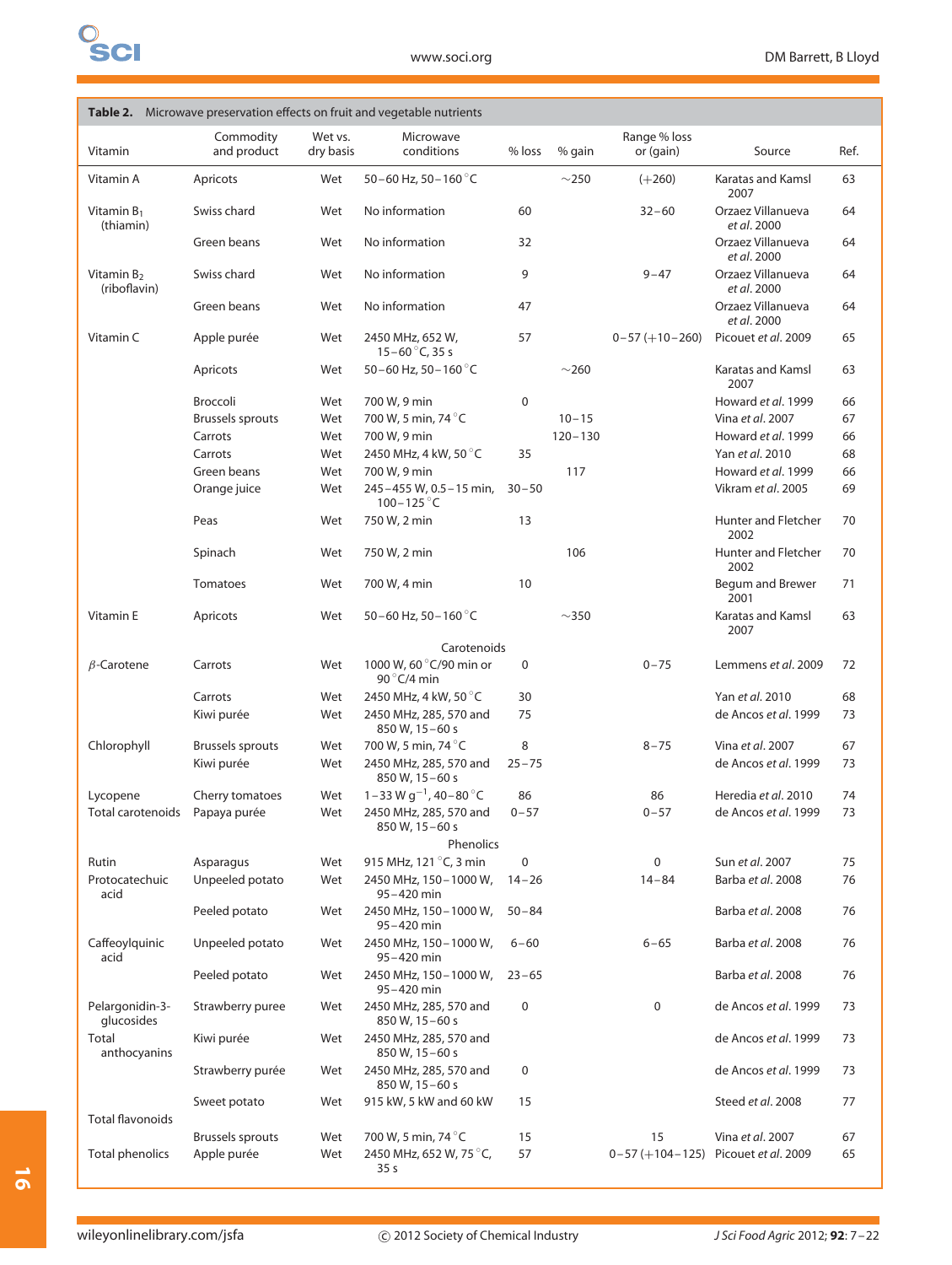| <b>Table 2.</b> Microwave preservation effects on fruit and vegetable nutrients |                          |                      |                                                       |                  |             |                           |                                     |      |  |  |
|---------------------------------------------------------------------------------|--------------------------|----------------------|-------------------------------------------------------|------------------|-------------|---------------------------|-------------------------------------|------|--|--|
| Vitamin                                                                         | Commodity<br>and product | Wet vs.<br>dry basis | Microwave<br>conditions                               | % loss           | % gain      | Range % loss<br>or (gain) | Source                              | Ref. |  |  |
| Vitamin A                                                                       | Apricots                 | Wet                  | 50-60 Hz, 50-160 $^{\circ}$ C                         |                  | $\sim$ 250  | $(+260)$                  | Karatas and Kamsl<br>2007           | 63   |  |  |
| Vitamin $B_1$<br>(thiamin)                                                      | Swiss chard              | Wet                  | No information                                        | 60               |             | $32 - 60$                 | Orzaez Villanueva<br>et al. 2000    | 64   |  |  |
|                                                                                 | Green beans              | Wet                  | No information                                        | 32               |             |                           | Orzaez Villanueva<br>et al. 2000    | 64   |  |  |
| Vitamin $B_2$<br>(riboflavin)                                                   | Swiss chard              | Wet                  | No information                                        | 9                |             | $9 - 47$                  | Orzaez Villanueva<br>et al. 2000    | 64   |  |  |
|                                                                                 | Green beans              | Wet                  | No information                                        | 47               |             |                           | Orzaez Villanueva<br>et al. 2000    | 64   |  |  |
| Vitamin C                                                                       | Apple purée              | Wet                  | 2450 MHz, 652 W,<br>$15 - 60$ °C, 35 s                | 57               |             | $0 - 57 (+10 - 260)$      | Picouet et al. 2009                 | 65   |  |  |
|                                                                                 | Apricots                 | Wet                  | 50-60 Hz, 50-160 $^{\circ}$ C                         |                  | $\sim$ 260  |                           | Karatas and Kamsl<br>2007           | 63   |  |  |
|                                                                                 | Broccoli                 | Wet                  | 700 W, 9 min                                          | $\mathbf 0$      |             |                           | Howard et al. 1999                  | 66   |  |  |
|                                                                                 | <b>Brussels sprouts</b>  | Wet                  | 700 W, 5 min, 74 °C                                   |                  | $10 - 15$   |                           | Vina et al. 2007                    | 67   |  |  |
|                                                                                 | Carrots                  | Wet                  | 700 W, 9 min                                          |                  | $120 - 130$ |                           | Howard et al. 1999                  | 66   |  |  |
|                                                                                 | Carrots                  | Wet                  | 2450 MHz, 4 kW, 50 °C                                 | 35               |             |                           | Yan et al. 2010                     | 68   |  |  |
|                                                                                 | Green beans              | Wet                  | 700 W, 9 min                                          |                  | 117         |                           | Howard et al. 1999                  | 66   |  |  |
|                                                                                 | Orange juice             | Wet                  | 245-455 W, 0.5-15 min,<br>$100 - 125$ °C              | $30 - 50$        |             |                           | Vikram et al. 2005                  | 69   |  |  |
|                                                                                 | Peas                     | Wet                  | 750 W, 2 min                                          | 13               |             |                           | Hunter and Fletcher<br>2002         | 70   |  |  |
|                                                                                 | Spinach                  | Wet                  | 750 W, 2 min                                          |                  | 106         |                           | Hunter and Fletcher<br>2002         | 70   |  |  |
|                                                                                 | Tomatoes                 | Wet                  | 700 W, 4 min                                          | 10               |             |                           | Begum and Brewer<br>2001            | 71   |  |  |
| Vitamin E                                                                       | Apricots                 | Wet                  | 50-60 Hz, 50-160 °C                                   |                  | $\sim$ 350  |                           | Karatas and Kamsl<br>2007           | 63   |  |  |
|                                                                                 |                          |                      | Carotenoids                                           |                  |             |                           |                                     |      |  |  |
| $\beta$ -Carotene                                                               | Carrots                  | Wet                  | 1000 W, 60 °C/90 min or<br>90 $^{\circ}$ C/4 min      | 0                |             | $0 - 75$                  | Lemmens et al. 2009                 | 72   |  |  |
|                                                                                 | Carrots                  | Wet                  | 2450 MHz, 4 kW, 50 °C                                 | 30               |             |                           | Yan et al. 2010                     | 68   |  |  |
|                                                                                 | Kiwi purée               | Wet                  | 2450 MHz, 285, 570 and<br>850 W, 15-60 s              | 75               |             |                           | de Ancos et al. 1999                | 73   |  |  |
| Chlorophyll                                                                     | <b>Brussels sprouts</b>  | Wet                  | 700 W, 5 min, 74 °C                                   | 8                |             | $8 - 75$                  | Vina et al. 2007                    | 67   |  |  |
|                                                                                 | Kiwi purée               | Wet                  | 2450 MHz, 285, 570 and<br>850 W, 15-60 s              | $25 - 75$        |             |                           | de Ancos et al. 1999                | 73   |  |  |
| Lycopene                                                                        | Cherry tomatoes          | Wet                  | 1-33 W g <sup>-1</sup> , 40-80 °C                     | 86               |             | 86                        | Heredia et al. 2010                 | 74   |  |  |
| Total carotenoids                                                               | Papaya purée             | Wet                  | 2450 MHz, 285, 570 and<br>850 W, 15-60 s<br>Phenolics | $0 - 57$         |             | $0 - 57$                  | de Ancos et al. 1999                | 73   |  |  |
| Rutin                                                                           | Asparagus                | Wet                  | 915 MHz, 121 °C, 3 min                                | $\boldsymbol{0}$ |             | $\mathbf 0$               | Sun et al. 2007                     | 75   |  |  |
| Protocatechuic<br>acid                                                          | Unpeeled potato          | Wet                  | 2450 MHz, 150-1000 W,<br>95-420 min                   | $14 - 26$        |             | $14 - 84$                 | Barba et al. 2008                   | 76   |  |  |
|                                                                                 | Peeled potato            | Wet                  | 2450 MHz, 150-1000 W,<br>95-420 min                   | $50 - 84$        |             |                           | Barba et al. 2008                   | 76   |  |  |
| Caffeoylquinic<br>acid                                                          | Unpeeled potato          | Wet                  | 2450 MHz, 150 - 1000 W,<br>95-420 min                 | $6 - 60$         |             | $6 - 65$                  | Barba et al. 2008                   | 76   |  |  |
|                                                                                 | Peeled potato            | Wet                  | 2450 MHz, 150-1000 W,<br>95-420 min                   | $23 - 65$        |             |                           | Barba et al. 2008                   | 76   |  |  |
| Pelargonidin-3-<br>glucosides                                                   | Strawberry puree         | Wet                  | 2450 MHz, 285, 570 and<br>850 W, 15 – 60 s            | 0                |             | $\mathbf 0$               | de Ancos et al. 1999                | 73   |  |  |
| Total<br>anthocyanins                                                           | Kiwi purée               | Wet                  | 2450 MHz, 285, 570 and<br>850 W, 15-60 s              |                  |             |                           | de Ancos et al. 1999                | 73   |  |  |
|                                                                                 | Strawberry purée         | Wet                  | 2450 MHz, 285, 570 and<br>850 W, 15-60 s              | 0                |             |                           | de Ancos et al. 1999                | 73   |  |  |
| <b>Total flavonoids</b>                                                         | Sweet potato             | Wet                  | 915 kW, 5 kW and 60 kW                                | 15               |             |                           | Steed et al. 2008                   | 77   |  |  |
|                                                                                 | <b>Brussels sprouts</b>  | Wet                  | 700 W, 5 min, 74 °C                                   | 15               |             | 15                        | Vina et al. 2007                    | 67   |  |  |
| <b>Total phenolics</b>                                                          | Apple purée              | Wet                  | 2450 MHz, 652 W, 75 °C,<br>35 <sub>s</sub>            | 57               |             |                           | 0-57 (+104-125) Picouet et al. 2009 | 65   |  |  |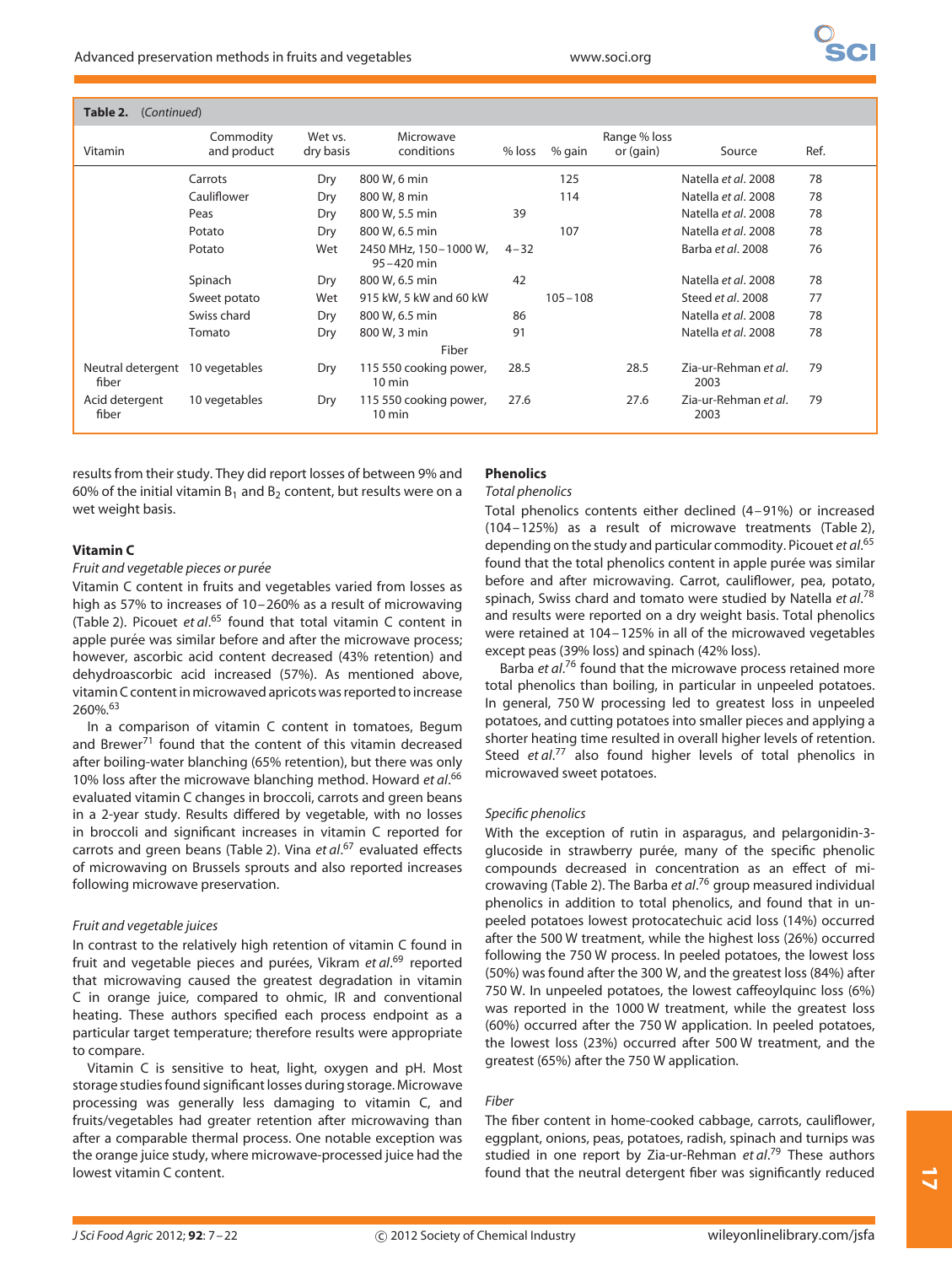| Table 2. (Continued)                     |                          |                      |                                            |          |             |                           |                              |      |
|------------------------------------------|--------------------------|----------------------|--------------------------------------------|----------|-------------|---------------------------|------------------------------|------|
| Vitamin                                  | Commodity<br>and product | Wet vs.<br>dry basis | Microwave<br>conditions                    | % loss   | $%$ gain    | Range % loss<br>or (gain) | Source                       | Ref. |
|                                          | Carrots                  | Dry                  | 800 W, 6 min                               |          | 125         |                           | Natella et al. 2008          | 78   |
|                                          | Cauliflower              | Dry                  | 800 W, 8 min                               |          | 114         |                           | Natella et al. 2008          | 78   |
|                                          | Peas                     | Dry                  | 800 W, 5.5 min                             | 39       |             |                           | Natella et al. 2008          | 78   |
|                                          | Potato                   | Dry                  | 800 W, 6.5 min                             |          | 107         |                           | Natella et al. 2008          | 78   |
|                                          | Potato                   | Wet                  | 2450 MHz, 150-1000 W,<br>$95 - 420$ min    | $4 - 32$ |             |                           | Barba et al. 2008            | 76   |
|                                          | Spinach                  | Dry                  | 800 W, 6.5 min                             | 42       |             |                           | Natella et al. 2008          | 78   |
|                                          | Sweet potato             | Wet                  | 915 kW, 5 kW and 60 kW                     |          | $105 - 108$ |                           | Steed et al. 2008            | 77   |
|                                          | Swiss chard              | Dry                  | 800 W, 6.5 min                             | 86       |             |                           | Natella et al. 2008          | 78   |
|                                          | Tomato                   | Dry                  | 800 W, 3 min                               | 91       |             |                           | Natella et al. 2008          | 78   |
|                                          |                          |                      | Fiber                                      |          |             |                           |                              |      |
| Neutral detergent 10 vegetables<br>fiber |                          | Dry                  | 115 550 cooking power,<br>$10 \text{ min}$ | 28.5     |             | 28.5                      | Zia-ur-Rehman et al.<br>2003 | 79   |
| Acid detergent<br>fiber                  | 10 vegetables            | Dry                  | 115 550 cooking power,<br>$10 \text{ min}$ | 27.6     |             | 27.6                      | Zia-ur-Rehman et al.<br>2003 | 79   |

results from their study. They did report losses of between 9% and 60% of the initial vitamin  $B_1$  and  $B_2$  content, but results were on a wet weight basis.

# **Vitamin C**

## *Fruit and vegetable pieces or puree´*

Vitamin C content in fruits and vegetables varied from losses as high as 57% to increases of 10-260% as a result of microwaving (Table 2). Picouet *et al*. <sup>65</sup> found that total vitamin C content in apple purée was similar before and after the microwave process; however, ascorbic acid content decreased (43% retention) and dehydroascorbic acid increased (57%). As mentioned above, vitamin C content in microwaved apricots was reported to increase 260%.63

In a comparison of vitamin C content in tomatoes, Begum and Brewer<sup>71</sup> found that the content of this vitamin decreased after boiling-water blanching (65% retention), but there was only 10% loss after the microwave blanching method. Howard *et al*. 66 evaluated vitamin C changes in broccoli, carrots and green beans in a 2-year study. Results differed by vegetable, with no losses in broccoli and significant increases in vitamin C reported for carrots and green beans (Table 2). Vina *et al*. <sup>67</sup> evaluated effects of microwaving on Brussels sprouts and also reported increases following microwave preservation.

## *Fruit and vegetable juices*

In contrast to the relatively high retention of vitamin C found in fruit and vegetable pieces and purées, Vikram et al.<sup>69</sup> reported that microwaving caused the greatest degradation in vitamin C in orange juice, compared to ohmic, IR and conventional heating. These authors specified each process endpoint as a particular target temperature; therefore results were appropriate to compare.

Vitamin C is sensitive to heat, light, oxygen and pH. Most storage studies found significant losses during storage. Microwave processing was generally less damaging to vitamin C, and fruits/vegetables had greater retention after microwaving than after a comparable thermal process. One notable exception was the orange juice study, where microwave-processed juice had the lowest vitamin C content.

# **Phenolics**

# *Total phenolics*

Total phenolics contents either declined (4–91%) or increased (104–125%) as a result of microwave treatments (Table 2), depending on the study and particular commodity. Picouet *et al*. 65 found that the total phenolics content in apple purée was similar before and after microwaving. Carrot, cauliflower, pea, potato, spinach, Swiss chard and tomato were studied by Natella *et al*. 78 and results were reported on a dry weight basis. Total phenolics were retained at 104–125% in all of the microwaved vegetables except peas (39% loss) and spinach (42% loss).

Barba *et al*. <sup>76</sup> found that the microwave process retained more total phenolics than boiling, in particular in unpeeled potatoes. In general, 750 W processing led to greatest loss in unpeeled potatoes, and cutting potatoes into smaller pieces and applying a shorter heating time resulted in overall higher levels of retention. Steed *et al*. <sup>77</sup> also found higher levels of total phenolics in microwaved sweet potatoes.

## *Specific phenolics*

With the exception of rutin in asparagus, and pelargonidin-3 glucoside in strawberry purée, many of the specific phenolic compounds decreased in concentration as an effect of microwaving (Table 2). The Barba *et al*. <sup>76</sup> group measured individual phenolics in addition to total phenolics, and found that in unpeeled potatoes lowest protocatechuic acid loss (14%) occurred after the 500 W treatment, while the highest loss (26%) occurred following the 750 W process. In peeled potatoes, the lowest loss (50%) was found after the 300 W, and the greatest loss (84%) after 750 W. In unpeeled potatoes, the lowest caffeoylquinc loss (6%) was reported in the 1000 W treatment, while the greatest loss (60%) occurred after the 750 W application. In peeled potatoes, the lowest loss (23%) occurred after 500 W treatment, and the greatest (65%) after the 750 W application.

## *Fiber*

The fiber content in home-cooked cabbage, carrots, cauliflower, eggplant, onions, peas, potatoes, radish, spinach and turnips was studied in one report by Zia-ur-Rehman *et al*. <sup>79</sup> These authors found that the neutral detergent fiber was significantly reduced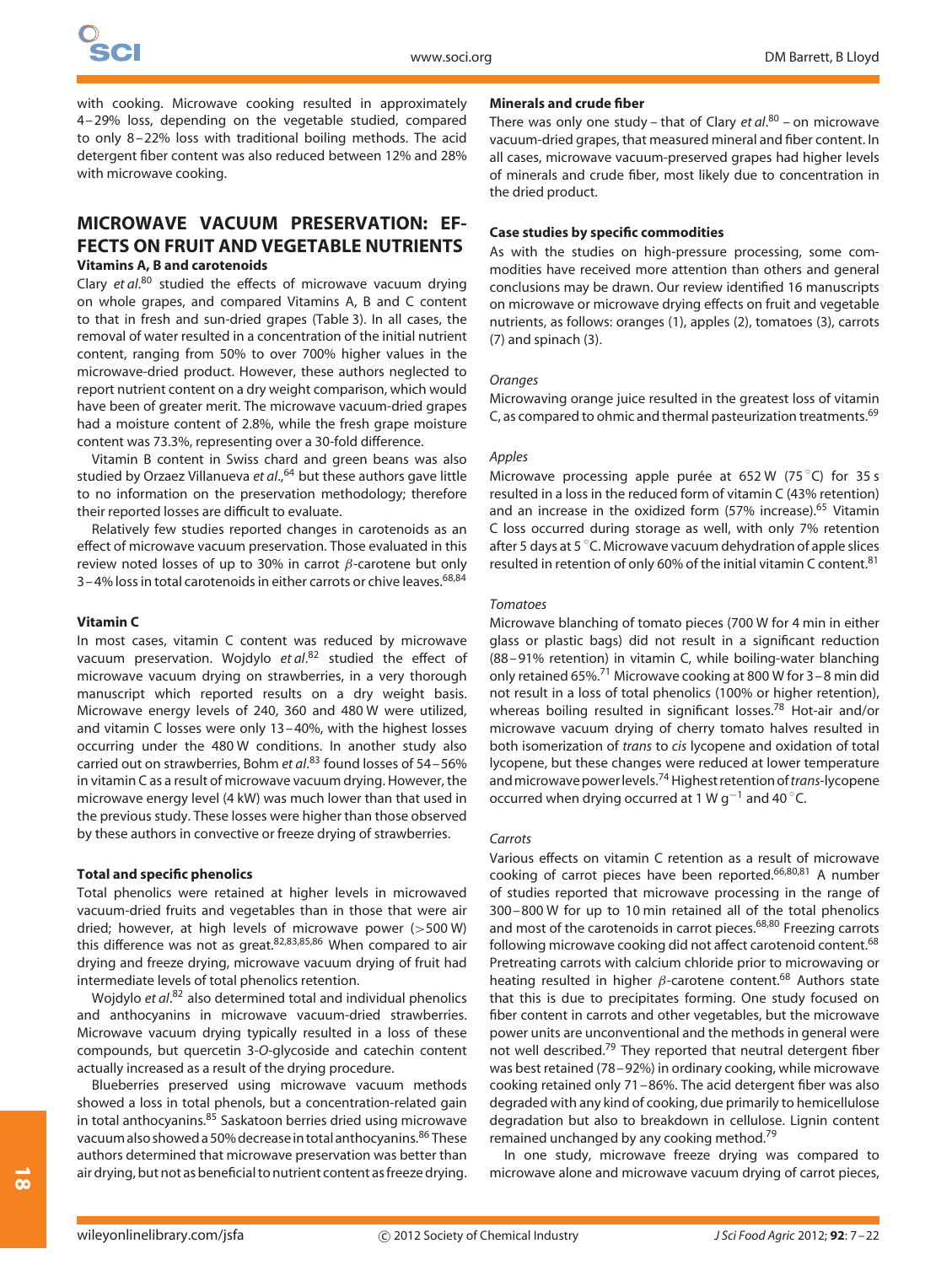with cooking. Microwave cooking resulted in approximately 4–29% loss, depending on the vegetable studied, compared to only 8–22% loss with traditional boiling methods. The acid

with microwave cooking.

# **MICROWAVE VACUUM PRESERVATION: EF-FECTS ON FRUIT AND VEGETABLE NUTRIENTS Vitamins A, B and carotenoids**

detergent fiber content was also reduced between 12% and 28%

Clary *et al*. <sup>80</sup> studied the effects of microwave vacuum drying on whole grapes, and compared Vitamins A, B and C content to that in fresh and sun-dried grapes (Table 3). In all cases, the removal of water resulted in a concentration of the initial nutrient content, ranging from 50% to over 700% higher values in the microwave-dried product. However, these authors neglected to report nutrient content on a dry weight comparison, which would have been of greater merit. The microwave vacuum-dried grapes had a moisture content of 2.8%, while the fresh grape moisture content was 73.3%, representing over a 30-fold difference.

Vitamin B content in Swiss chard and green beans was also studied by Orzaez Villanueva *et al.*,<sup>64</sup> but these authors gave little to no information on the preservation methodology; therefore their reported losses are difficult to evaluate.

Relatively few studies reported changes in carotenoids as an effect of microwave vacuum preservation. Those evaluated in this review noted losses of up to 30% in carrot *β*-carotene but only 3-4% loss in total carotenoids in either carrots or chive leaves.<sup>68,84</sup>

## **Vitamin C**

In most cases, vitamin C content was reduced by microwave vacuum preservation. Wojdylo *et al*. <sup>82</sup> studied the effect of microwave vacuum drying on strawberries, in a very thorough manuscript which reported results on a dry weight basis. Microwave energy levels of 240, 360 and 480 W were utilized, and vitamin C losses were only 13–40%, with the highest losses occurring under the 480 W conditions. In another study also carried out on strawberries, Bohm *et al*. <sup>83</sup> found losses of 54–56% in vitamin C as a result of microwave vacuum drying. However, the microwave energy level (4 kW) was much lower than that used in the previous study. These losses were higher than those observed by these authors in convective or freeze drying of strawberries.

## **Total and specific phenolics**

Total phenolics were retained at higher levels in microwaved vacuum-dried fruits and vegetables than in those that were air dried; however, at high levels of microwave power (*>*500 W) this difference was not as great.82,83,85,86 When compared to air drying and freeze drying, microwave vacuum drying of fruit had intermediate levels of total phenolics retention.

Wojdylo *et al*. <sup>82</sup> also determined total and individual phenolics and anthocyanins in microwave vacuum-dried strawberries. Microwave vacuum drying typically resulted in a loss of these compounds, but quercetin 3-*O*-glycoside and catechin content actually increased as a result of the drying procedure.

Blueberries preserved using microwave vacuum methods showed a loss in total phenols, but a concentration-related gain in total anthocyanins.<sup>85</sup> Saskatoon berries dried using microwave vacuum also showed a 50% decrease in total anthocyanins.86 These authors determined that microwave preservation was better than air drying, but not as beneficial to nutrient content as freeze drying.

# **Minerals and crude fiber**

There was only one study – that of Clary *et al*. <sup>80</sup> – on microwave vacuum-dried grapes, that measured mineral and fiber content. In all cases, microwave vacuum-preserved grapes had higher levels of minerals and crude fiber, most likely due to concentration in the dried product.

## **Case studies by specific commodities**

As with the studies on high-pressure processing, some commodities have received more attention than others and general conclusions may be drawn. Our review identified 16 manuscripts on microwave or microwave drying effects on fruit and vegetable nutrients, as follows: oranges (1), apples (2), tomatoes (3), carrots (7) and spinach (3).

## *Oranges*

Microwaving orange juice resulted in the greatest loss of vitamin C, as compared to ohmic and thermal pasteurization treatments.<sup>69</sup>

#### *Apples*

Microwave processing apple purée at  $652 W$  (75 $^{\circ}$ C) for 35 s resulted in a loss in the reduced form of vitamin C (43% retention) and an increase in the oxidized form (57% increase).<sup>65</sup> Vitamin C loss occurred during storage as well, with only 7% retention after 5 days at 5  $^{\circ}$ C. Microwave vacuum dehydration of apple slices resulted in retention of only 60% of the initial vitamin C content.<sup>81</sup>

#### *Tomatoes*

Microwave blanching of tomato pieces (700 W for 4 min in either glass or plastic bags) did not result in a significant reduction (88–91% retention) in vitamin C, while boiling-water blanching only retained 65%.71 Microwave cooking at 800 W for 3–8 min did not result in a loss of total phenolics (100% or higher retention), whereas boiling resulted in significant losses.<sup>78</sup> Hot-air and/or microwave vacuum drying of cherry tomato halves resulted in both isomerization of *trans* to *cis* lycopene and oxidation of total lycopene, but these changes were reduced at lower temperature and microwave power levels.<sup>74</sup> Highest retention of*trans*-lycopene occurred when drying occurred at 1 W g<sup>-1</sup> and 40  $^{\circ}$ C.

## *Carrots*

Various effects on vitamin C retention as a result of microwave cooking of carrot pieces have been reported.<sup>66,80,81</sup> A number of studies reported that microwave processing in the range of 300–800 W for up to 10 min retained all of the total phenolics and most of the carotenoids in carrot pieces.<sup>68,80</sup> Freezing carrots following microwave cooking did not affect carotenoid content.<sup>68</sup> Pretreating carrots with calcium chloride prior to microwaving or heating resulted in higher *β*-carotene content.<sup>68</sup> Authors state that this is due to precipitates forming. One study focused on fiber content in carrots and other vegetables, but the microwave power units are unconventional and the methods in general were not well described.79 They reported that neutral detergent fiber was best retained (78–92%) in ordinary cooking, while microwave cooking retained only 71–86%. The acid detergent fiber was also degraded with any kind of cooking, due primarily to hemicellulose degradation but also to breakdown in cellulose. Lignin content remained unchanged by any cooking method.79

In one study, microwave freeze drying was compared to microwave alone and microwave vacuum drying of carrot pieces,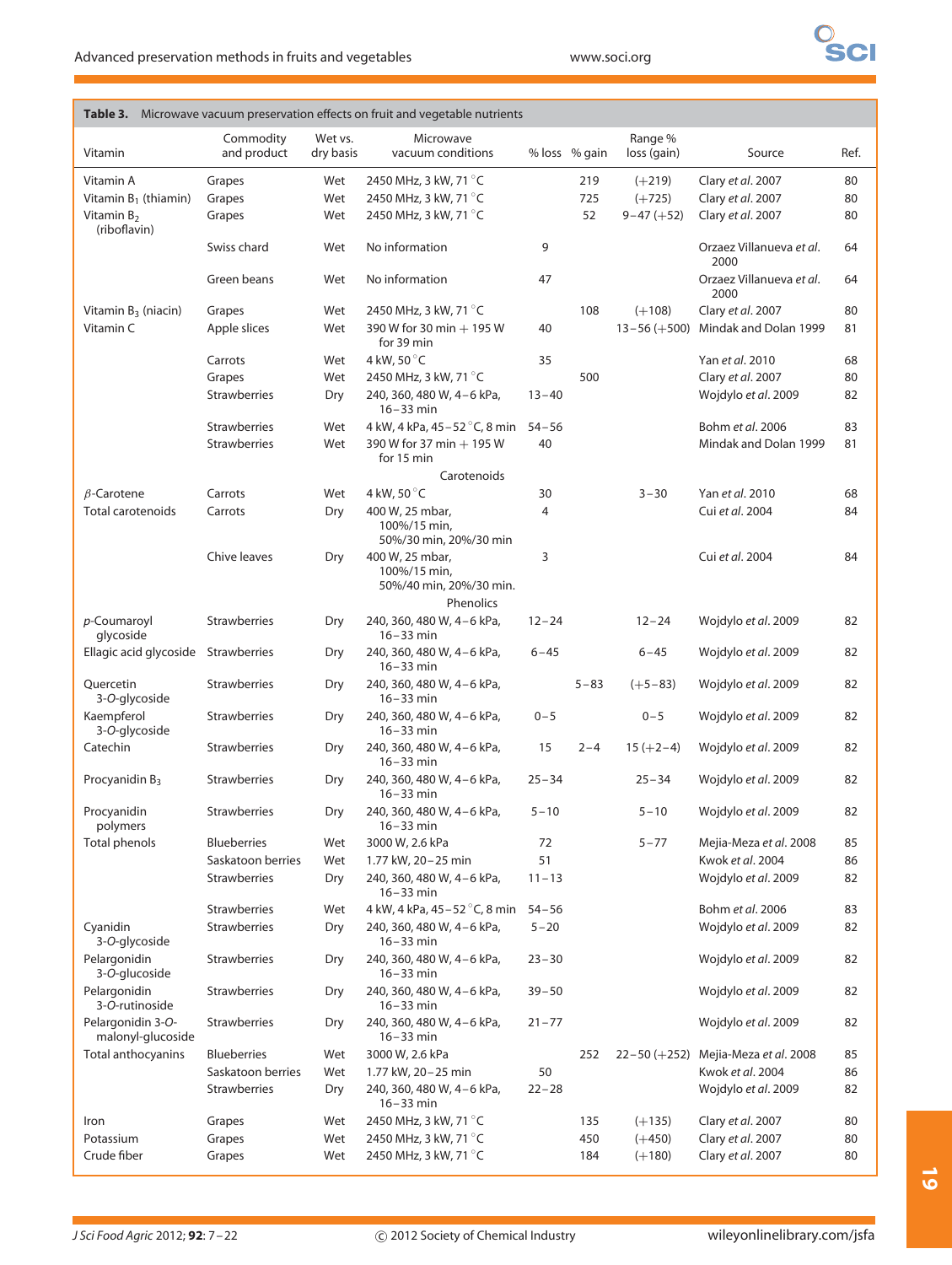| Table 3. Microwave vacuum preservation effects on fruit and vegetable nutrients |                          |                      |                                            |                |               |                        |                                  |      |  |
|---------------------------------------------------------------------------------|--------------------------|----------------------|--------------------------------------------|----------------|---------------|------------------------|----------------------------------|------|--|
| Vitamin                                                                         | Commodity<br>and product | Wet vs.<br>dry basis | Microwave<br>vacuum conditions             |                | % loss % gain | Range %<br>loss (gain) | Source                           | Ref. |  |
| Vitamin A                                                                       | Grapes                   | Wet                  | 2450 MHz, 3 kW, 71 °C                      |                | 219           | $(+219)$               | Clary et al. 2007                | 80   |  |
| Vitamin $B_1$ (thiamin)                                                         | Grapes                   | Wet                  | 2450 MHz, 3 kW, 71 °C                      |                | 725           | $(+725)$               | Clary et al. 2007                | 80   |  |
| Vitamin B <sub>2</sub>                                                          | Grapes                   | Wet                  | 2450 MHz, 3 kW, 71 °C                      |                | 52            | $9 - 47 (+52)$         | Clary et al. 2007                | 80   |  |
| (riboflavin)                                                                    | Swiss chard              | Wet                  | No information                             | 9              |               |                        | Orzaez Villanueva et al.<br>2000 | 64   |  |
|                                                                                 | Green beans              | Wet                  | No information                             | 47             |               |                        | Orzaez Villanueva et al.<br>2000 | 64   |  |
| Vitamin $B_3$ (niacin)                                                          | Grapes                   | Wet                  | 2450 MHz, 3 kW, 71 °C                      |                | 108           | $(+108)$               | Clary et al. 2007                | 80   |  |
| Vitamin C                                                                       | Apple slices             | Wet                  | 390 W for 30 min + 195 W<br>for 39 min     | 40             |               | $13 - 56 (+500)$       | Mindak and Dolan 1999            | 81   |  |
|                                                                                 | Carrots                  | Wet                  | 4 kW, 50 °C                                | 35             |               |                        | Yan et al. 2010                  | 68   |  |
|                                                                                 | Grapes                   | Wet                  | 2450 MHz, 3 kW, 71 °C                      |                | 500           |                        | Clary et al. 2007                | 80   |  |
|                                                                                 | <b>Strawberries</b>      | Dry                  | 240, 360, 480 W, 4-6 kPa,<br>$16 - 33$ min | $13 - 40$      |               |                        | Wojdylo et al. 2009              | 82   |  |
|                                                                                 | Strawberries             | Wet                  | 4 kW, 4 kPa, 45 – 52 °C, 8 min             | $54 - 56$      |               |                        | Bohm et al. 2006                 | 83   |  |
|                                                                                 | <b>Strawberries</b>      | Wet                  | 390 W for 37 min + 195 W<br>for 15 min     | 40             |               |                        | Mindak and Dolan 1999            | 81   |  |
|                                                                                 |                          |                      | Carotenoids                                |                |               |                        |                                  |      |  |
| $\beta$ -Carotene                                                               | Carrots                  | Wet                  | 4 kW, 50 °C                                | 30             |               | $3 - 30$               | Yan et al. 2010                  | 68   |  |
| Total carotenoids                                                               | Carrots                  | Dry                  | 400 W, 25 mbar,                            | $\overline{4}$ |               |                        | Cui et al. 2004                  | 84   |  |
|                                                                                 |                          |                      | 100%/15 min,<br>50%/30 min, 20%/30 min     |                |               |                        |                                  |      |  |
|                                                                                 | Chive leaves             | Dry                  | 400 W, 25 mbar,<br>100%/15 min,            | 3              |               |                        | Cui et al. 2004                  | 84   |  |
|                                                                                 |                          |                      | 50%/40 min, 20%/30 min.<br>Phenolics       |                |               |                        |                                  |      |  |
| p-Coumaroyl<br>glycoside                                                        | <b>Strawberries</b>      | Dry                  | 240, 360, 480 W, 4-6 kPa,<br>$16 - 33$ min | $12 - 24$      |               | $12 - 24$              | Wojdylo et al. 2009              | 82   |  |
| Ellagic acid glycoside Strawberries                                             |                          | Dry                  | 240, 360, 480 W, 4-6 kPa,<br>$16 - 33$ min | $6 - 45$       |               | $6 - 45$               | Wojdylo et al. 2009              | 82   |  |
| Quercetin<br>3-O-glycoside                                                      | <b>Strawberries</b>      | Dry                  | 240, 360, 480 W, 4-6 kPa,<br>$16 - 33$ min |                | $5 - 83$      | $(+5 - 83)$            | Wojdylo et al. 2009              | 82   |  |
| Kaempferol<br>3-O-glycoside                                                     | Strawberries             | Dry                  | 240, 360, 480 W, 4-6 kPa,<br>$16 - 33$ min | $0 - 5$        |               | $0 - 5$                | Wojdylo et al. 2009              | 82   |  |
| Catechin                                                                        | <b>Strawberries</b>      | Dry                  | 240, 360, 480 W, 4-6 kPa,<br>$16 - 33$ min | 15             | $2 - 4$       | $15 (+2-4)$            | Wojdylo et al. 2009              | 82   |  |
| Procyanidin B <sub>3</sub>                                                      | <b>Strawberries</b>      | Dry                  | 240, 360, 480 W, 4-6 kPa,<br>$16 - 33$ min | $25 - 34$      |               | $25 - 34$              | Wojdylo et al. 2009              | 82   |  |
| Procyanidin<br>polymers                                                         | <b>Strawberries</b>      | Dry                  | 240, 360, 480 W, 4-6 kPa,<br>$16 - 33$ min | $5 - 10$       |               | $5 - 10$               | Wojdylo et al. 2009              | 82   |  |
| Total phenols                                                                   | <b>Blueberries</b>       | Wet                  | 3000 W, 2.6 kPa                            | 72             |               | $5 - 77$               | Mejia-Meza et al. 2008           | 85   |  |
|                                                                                 | Saskatoon berries        | Wet                  | 1.77 kW, 20-25 min                         | 51             |               |                        | Kwok et al. 2004                 | 86   |  |
|                                                                                 | <b>Strawberries</b>      | Dry                  | 240, 360, 480 W, 4-6 kPa,<br>$16 - 33$ min | $11 - 13$      |               |                        | Wojdylo et al. 2009              | 82   |  |
|                                                                                 | <b>Strawberries</b>      | Wet                  | 4 kW, 4 kPa, 45 – 52 $^{\circ}$ C, 8 min   | $54 - 56$      |               |                        | Bohm et al. 2006                 | 83   |  |
| Cyanidin<br>3-O-glycoside                                                       | <b>Strawberries</b>      | Dry                  | 240, 360, 480 W, 4-6 kPa,<br>$16 - 33$ min | $5 - 20$       |               |                        | Wojdylo et al. 2009              | 82   |  |
| Pelargonidin<br>3-O-glucoside                                                   | Strawberries             | Dry                  | 240, 360, 480 W, 4-6 kPa,<br>$16 - 33$ min | $23 - 30$      |               |                        | Wojdylo et al. 2009              | 82   |  |
| Pelargonidin<br>3-O-rutinoside                                                  | <b>Strawberries</b>      | Dry                  | 240, 360, 480 W, 4-6 kPa,<br>$16 - 33$ min | $39 - 50$      |               |                        | Wojdylo et al. 2009              | 82   |  |
| Pelargonidin 3-O-<br>malonyl-glucoside                                          | <b>Strawberries</b>      | Dry                  | 240, 360, 480 W, 4-6 kPa,<br>$16 - 33$ min | $21 - 77$      |               |                        | Wojdylo et al. 2009              | 82   |  |
| Total anthocyanins                                                              | <b>Blueberries</b>       | Wet                  | 3000 W, 2.6 kPa                            |                | 252           | $22 - 50 (+252)$       | Mejia-Meza et al. 2008           | 85   |  |
|                                                                                 | Saskatoon berries        | Wet                  | 1.77 kW, 20-25 min                         | 50             |               |                        | Kwok et al. 2004                 | 86   |  |
|                                                                                 | <b>Strawberries</b>      | Dry                  | 240, 360, 480 W, 4-6 kPa,<br>$16 - 33$ min | $22 - 28$      |               |                        | Wojdylo et al. 2009              | 82   |  |
| Iron                                                                            | Grapes                   | Wet                  | 2450 MHz, 3 kW, 71 °C                      |                | 135           | $(+135)$               | Clary et al. 2007                | 80   |  |
| Potassium                                                                       | Grapes                   | Wet                  | 2450 MHz, 3 kW, 71 °C                      |                | 450           | $(+450)$               | Clary et al. 2007                | 80   |  |
| Crude fiber                                                                     | Grapes                   | Wet                  | 2450 MHz, 3 kW, 71 °C                      |                | 184           | $(+180)$               | Clary et al. 2007                | 80   |  |

**19**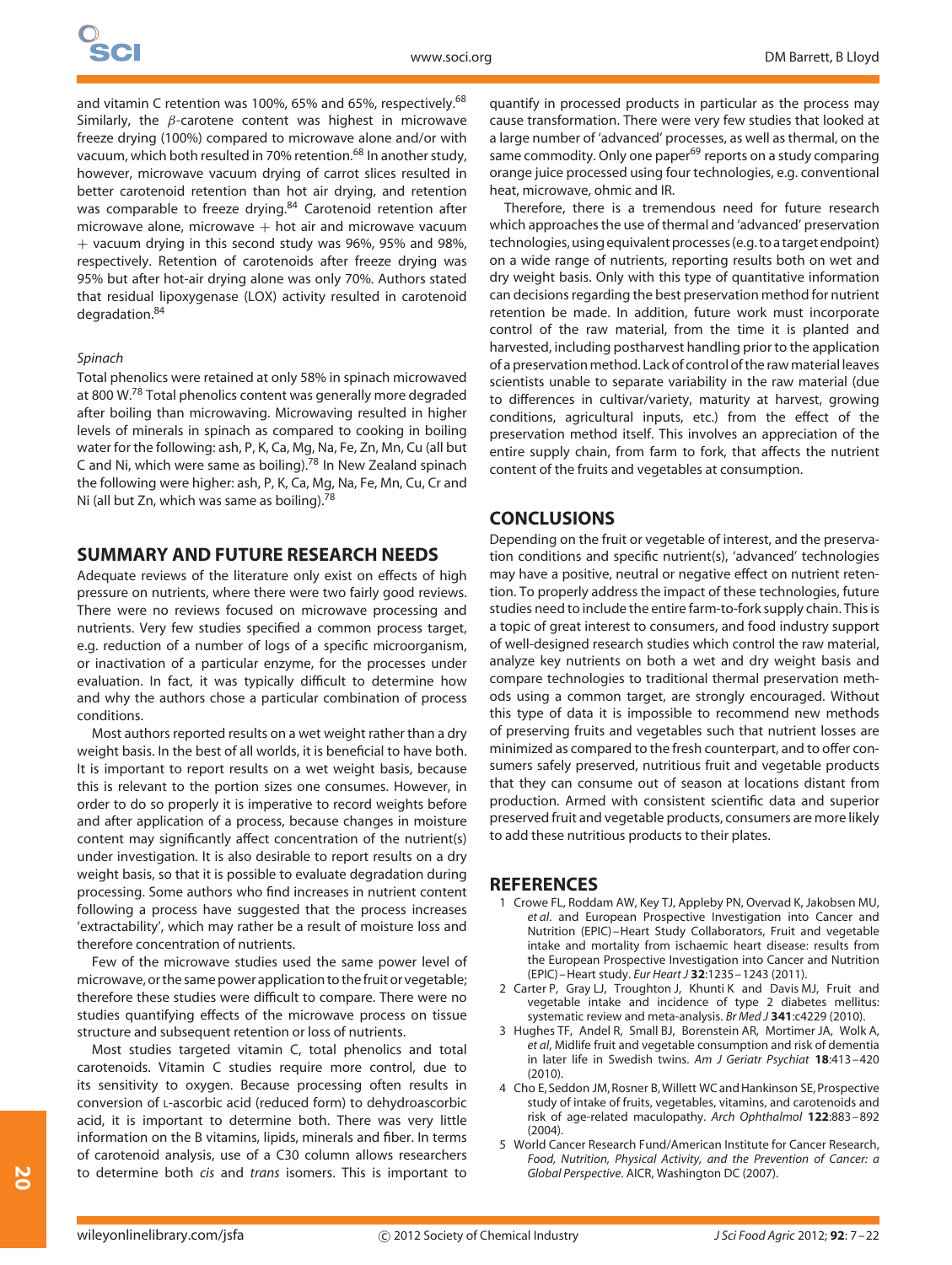and vitamin C retention was 100%, 65% and 65%, respectively.<sup>68</sup> Similarly, the *β*-carotene content was highest in microwave freeze drying (100%) compared to microwave alone and/or with vacuum, which both resulted in 70% retention.<sup>68</sup> In another study, however, microwave vacuum drying of carrot slices resulted in better carotenoid retention than hot air drying, and retention was comparable to freeze drying.<sup>84</sup> Carotenoid retention after microwave alone, microwave  $+$  hot air and microwave vacuum  $+$  vacuum drying in this second study was 96%, 95% and 98%, respectively. Retention of carotenoids after freeze drying was 95% but after hot-air drying alone was only 70%. Authors stated that residual lipoxygenase (LOX) activity resulted in carotenoid degradation.<sup>84</sup>

## *Spinach*

Total phenolics were retained at only 58% in spinach microwaved at 800 W.78 Total phenolics content was generally more degraded after boiling than microwaving. Microwaving resulted in higher levels of minerals in spinach as compared to cooking in boiling water for the following: ash, P, K, Ca, Mg, Na, Fe, Zn, Mn, Cu (all but C and Ni, which were same as boiling).78 In New Zealand spinach the following were higher: ash, P, K, Ca, Mg, Na, Fe, Mn, Cu, Cr and Ni (all but Zn, which was same as boiling).<sup>78</sup>

# **SUMMARY AND FUTURE RESEARCH NEEDS**

Adequate reviews of the literature only exist on effects of high pressure on nutrients, where there were two fairly good reviews. There were no reviews focused on microwave processing and nutrients. Very few studies specified a common process target, e.g. reduction of a number of logs of a specific microorganism, or inactivation of a particular enzyme, for the processes under evaluation. In fact, it was typically difficult to determine how and why the authors chose a particular combination of process conditions.

Most authors reported results on a wet weight rather than a dry weight basis. In the best of all worlds, it is beneficial to have both. It is important to report results on a wet weight basis, because this is relevant to the portion sizes one consumes. However, in order to do so properly it is imperative to record weights before and after application of a process, because changes in moisture content may significantly affect concentration of the nutrient(s) under investigation. It is also desirable to report results on a dry weight basis, so that it is possible to evaluate degradation during processing. Some authors who find increases in nutrient content following a process have suggested that the process increases 'extractability', which may rather be a result of moisture loss and therefore concentration of nutrients.

Few of the microwave studies used the same power level of microwave, or the same power application to the fruit or vegetable; therefore these studies were difficult to compare. There were no studies quantifying effects of the microwave process on tissue structure and subsequent retention or loss of nutrients.

Most studies targeted vitamin C, total phenolics and total carotenoids. Vitamin C studies require more control, due to its sensitivity to oxygen. Because processing often results in conversion of L-ascorbic acid (reduced form) to dehydroascorbic acid, it is important to determine both. There was very little information on the B vitamins, lipids, minerals and fiber. In terms of carotenoid analysis, use of a C30 column allows researchers to determine both *cis* and *trans* isomers. This is important to quantify in processed products in particular as the process may cause transformation. There were very few studies that looked at a large number of 'advanced' processes, as well as thermal, on the same commodity. Only one paper<sup>69</sup> reports on a study comparing orange juice processed using four technologies, e.g. conventional heat, microwave, ohmic and IR.

Therefore, there is a tremendous need for future research which approaches the use of thermal and 'advanced' preservation technologies, using equivalent processes (e.g. to a target endpoint) on a wide range of nutrients, reporting results both on wet and dry weight basis. Only with this type of quantitative information can decisions regarding the best preservation method for nutrient retention be made. In addition, future work must incorporate control of the raw material, from the time it is planted and harvested, including postharvest handling prior to the application of a preservation method. Lack of control of the raw material leaves scientists unable to separate variability in the raw material (due to differences in cultivar/variety, maturity at harvest, growing conditions, agricultural inputs, etc.) from the effect of the preservation method itself. This involves an appreciation of the entire supply chain, from farm to fork, that affects the nutrient content of the fruits and vegetables at consumption.

# **CONCLUSIONS**

Depending on the fruit or vegetable of interest, and the preservation conditions and specific nutrient(s), 'advanced' technologies may have a positive, neutral or negative effect on nutrient retention. To properly address the impact of these technologies, future studies need to include the entire farm-to-fork supply chain. This is a topic of great interest to consumers, and food industry support of well-designed research studies which control the raw material, analyze key nutrients on both a wet and dry weight basis and compare technologies to traditional thermal preservation methods using a common target, are strongly encouraged. Without this type of data it is impossible to recommend new methods of preserving fruits and vegetables such that nutrient losses are minimized as compared to the fresh counterpart, and to offer consumers safely preserved, nutritious fruit and vegetable products that they can consume out of season at locations distant from production. Armed with consistent scientific data and superior preserved fruit and vegetable products, consumers are more likely to add these nutritious products to their plates.

## **REFERENCES**

- 1 Crowe FL, Roddam AW, Key TJ, Appleby PN, Overvad K, Jakobsen MU, *et al*. and European Prospective Investigation into Cancer and Nutrition (EPIC)–Heart Study Collaborators, Fruit and vegetable intake and mortality from ischaemic heart disease: results from the European Prospective Investigation into Cancer and Nutrition (EPIC)–Heart study. *Eur Heart J* **32**:1235–1243 (2011).
- 2 Carter P, Gray LJ, Troughton J, Khunti K and Davis MJ, Fruit and vegetable intake and incidence of type 2 diabetes mellitus: systematic review and meta-analysis. *Br Med J* **341**:c4229 (2010).
- 3 Hughes TF, Andel R, Small BJ, Borenstein AR, Mortimer JA, Wolk A, *et al*, Midlife fruit and vegetable consumption and risk of dementia in later life in Swedish twins. *Am J Geriatr Psychiat* **18**:413–420 (2010).
- 4 Cho E, Seddon JM, Rosner B, Willett WC and Hankinson SE, Prospective study of intake of fruits, vegetables, vitamins, and carotenoids and risk of age-related maculopathy. *Arch Ophthalmol* **122**:883–892 (2004).
- 5 World Cancer Research Fund/American Institute for Cancer Research, *Food, Nutrition, Physical Activity, and the Prevention of Cancer: a Global Perspective*. AICR, Washington DC (2007).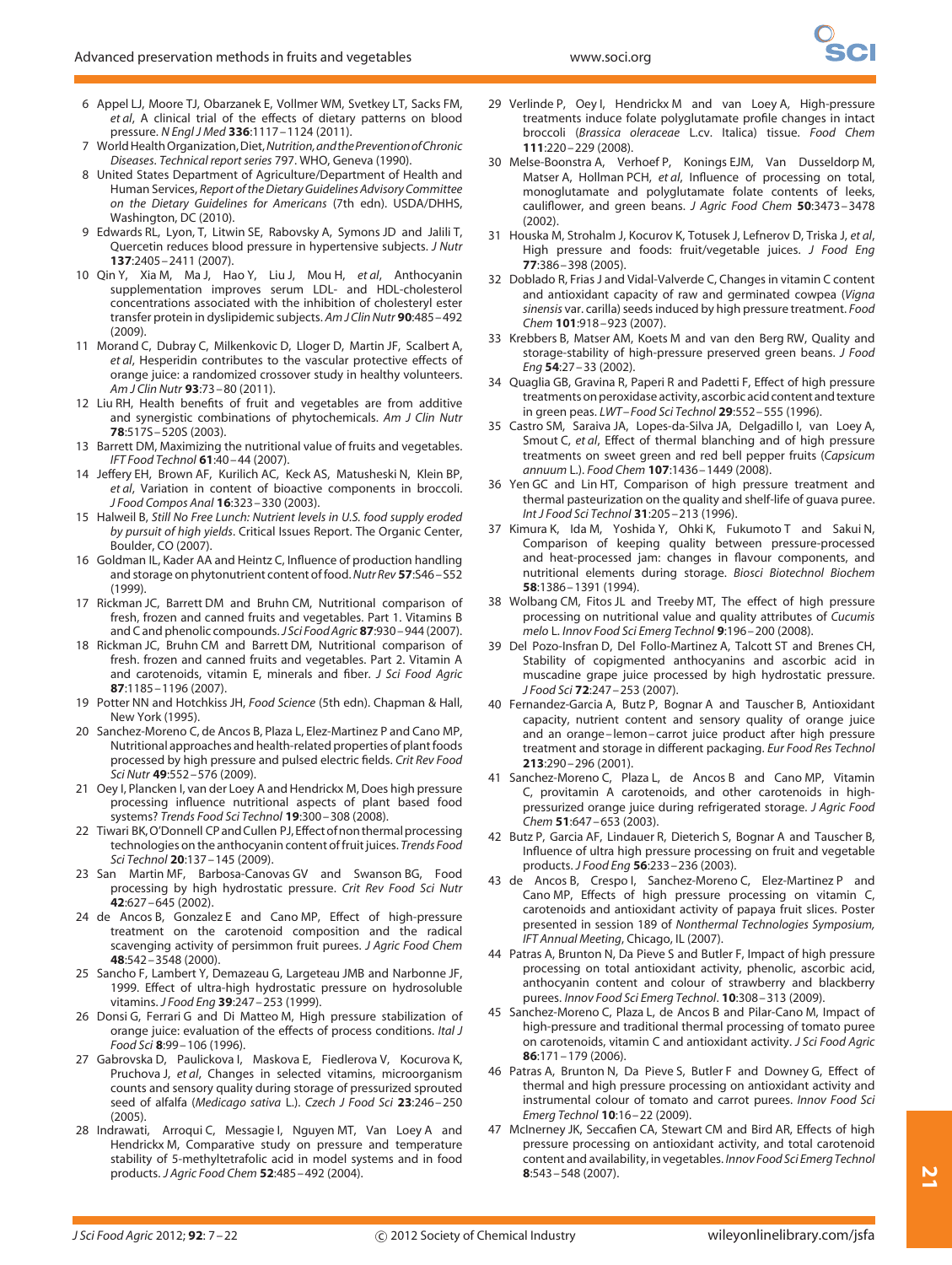- 6 Appel LJ, Moore TJ, Obarzanek E, Vollmer WM, Svetkey LT, Sacks FM, *et al*, A clinical trial of the effects of dietary patterns on blood pressure. *N Engl J Med* **336**:1117–1124 (2011).
- 7 World Health Organization, Diet,*Nutrition,and thePreventionofChronic Diseases*. *Technical report series* 797. WHO, Geneva (1990).
- 8 United States Department of Agriculture/Department of Health and Human Services, *Report of the Dietary Guidelines Advisory Committee on the Dietary Guidelines for Americans* (7th edn). USDA/DHHS, Washington, DC (2010).
- 9 Edwards RL, Lyon, T, Litwin SE, Rabovsky A, Symons JD and Jalili T, Quercetin reduces blood pressure in hypertensive subjects. *J Nutr* **137**:2405–2411 (2007).
- 10 Qin Y, Xia M, Ma J, Hao Y, Liu J, Mou H, *et al*, Anthocyanin supplementation improves serum LDL- and HDL-cholesterol concentrations associated with the inhibition of cholesteryl ester transfer protein in dyslipidemic subjects. *Am J Clin Nutr* **90**:485–492 (2009).
- 11 Morand C, Dubray C, Milkenkovic D, Lloger D, Martin JF, Scalbert A, *et al*, Hesperidin contributes to the vascular protective effects of orange juice: a randomized crossover study in healthy volunteers. *Am J Clin Nutr* **93**:73–80 (2011).
- 12 Liu RH, Health benefits of fruit and vegetables are from additive and synergistic combinations of phytochemicals. *Am J Clin Nutr* **78**:517S–520S (2003).
- 13 Barrett DM, Maximizing the nutritional value of fruits and vegetables. *IFT Food Technol* **61**:40–44 (2007).
- 14 Jeffery EH, Brown AF, Kurilich AC, Keck AS, Matusheski N, Klein BP, *et al*, Variation in content of bioactive components in broccoli. *J Food Compos Anal* **16**:323–330 (2003).
- 15 Halweil B, *Still No Free Lunch: Nutrient levels in U.S. food supply eroded by pursuit of high yields*. Critical Issues Report. The Organic Center, Boulder, CO (2007).
- 16 Goldman IL, Kader AA and Heintz C, Influence of production handling and storage on phytonutrient content of food.*Nutr Rev* **57**:S46–S52 (1999).
- 17 Rickman JC, Barrett DM and Bruhn CM, Nutritional comparison of fresh, frozen and canned fruits and vegetables. Part 1. Vitamins B and C and phenolic compounds.*J Sci Food Agric* **87**:930–944 (2007).
- 18 Rickman JC, Bruhn CM and Barrett DM, Nutritional comparison of fresh. frozen and canned fruits and vegetables. Part 2. Vitamin A and carotenoids, vitamin E, minerals and fiber. *J Sci Food Agric* **87**:1185–1196 (2007).
- 19 Potter NN and Hotchkiss JH, *Food Science* (5th edn). Chapman & Hall, New York (1995).
- 20 Sanchez-Moreno C, de Ancos B, Plaza L, Elez-Martinez P and Cano MP, Nutritional approaches and health-related properties of plant foods processed by high pressure and pulsed electric fields. *Crit Rev Food Sci Nutr* **49**:552–576 (2009).
- 21 Oey I, Plancken I, van der Loey A and Hendrickx M, Does high pressure processing influence nutritional aspects of plant based food systems? *Trends Food Sci Technol* **19**:300–308 (2008).
- 22 Tiwari BK, O'Donnell CP and Cullen PJ, Effect of non thermal processing technologies on the anthocyanin content of fruit juices. *Trends Food Sci Technol* **20**:137–145 (2009).
- 23 San Martin MF, Barbosa-Canovas GV and Swanson BG, Food processing by high hydrostatic pressure. *Crit Rev Food Sci Nutr* **42**:627–645 (2002).
- 24 de Ancos B, Gonzalez E and Cano MP, Effect of high-pressure treatment on the carotenoid composition and the radical scavenging activity of persimmon fruit purees. *J Agric Food Chem* **48**:542–3548 (2000).
- 25 Sancho F, Lambert Y, Demazeau G, Largeteau JMB and Narbonne JF, 1999. Effect of ultra-high hydrostatic pressure on hydrosoluble vitamins. *J Food Eng* **39**:247–253 (1999).
- 26 Donsi G, Ferrari G and Di Matteo M, High pressure stabilization of orange juice: evaluation of the effects of process conditions. *Ital J Food Sci* **8**:99–106 (1996).
- 27 Gabrovska D, Paulickova I, Maskova E, Fiedlerova V, Kocurova K, Pruchova J, *et al*, Changes in selected vitamins, microorganism counts and sensory quality during storage of pressurized sprouted seed of alfalfa (*Medicago sativa* L.). *Czech J Food Sci* **23**:246–250 (2005).
- 28 Indrawati, Arroqui C, Messagie I, Nguyen MT, Van Loey A and Hendrickx M, Comparative study on pressure and temperature stability of 5-methyltetrafolic acid in model systems and in food products. *J Agric Food Chem* **52**:485–492 (2004).
- 29 Verlinde P, Oey I, Hendrickx M and van Loey A, High-pressure treatments induce folate polyglutamate profile changes in intact broccoli (*Brassica oleraceae* L.cv. Italica) tissue. *Food Chem* **111**:220–229 (2008).
- 30 Melse-Boonstra A, Verhoef P, Konings EJM, Van Dusseldorp M, Matser A, Hollman PCH, *et al*, Influence of processing on total, monoglutamate and polyglutamate folate contents of leeks, cauliflower, and green beans. *J Agric Food Chem* **50**:3473–3478 (2002).
- 31 Houska M, Strohalm J, Kocurov K, Totusek J, Lefnerov D, Triska J, *et al*, High pressure and foods: fruit/vegetable juices. *J Food Eng* **77**:386–398 (2005).
- 32 Doblado R, Frias J and Vidal-Valverde C, Changes in vitamin C content and antioxidant capacity of raw and germinated cowpea (*Vigna sinensis* var. carilla) seeds induced by high pressure treatment. *Food Chem* **101**:918–923 (2007).
- 33 Krebbers B, Matser AM, Koets M and van den Berg RW, Quality and storage-stability of high-pressure preserved green beans. *J Food Eng* **54**:27–33 (2002).
- 34 Quaglia GB, Gravina R, Paperi R and Padetti F, Effect of high pressure treatments on peroxidase activity, ascorbic acid content and texture in green peas. *LWT–Food Sci Technol* **29**:552–555 (1996).
- 35 Castro SM, Saraiva JA, Lopes-da-Silva JA, Delgadillo I, van Loey A, Smout C, *et al*, Effect of thermal blanching and of high pressure treatments on sweet green and red bell pepper fruits (*Capsicum annuum* L.). *Food Chem* **107**:1436–1449 (2008).
- 36 Yen GC and Lin HT, Comparison of high pressure treatment and thermal pasteurization on the quality and shelf-life of guava puree. *Int J Food Sci Technol* **31**:205–213 (1996).
- 37 Kimura K, Ida M, Yoshida Y, Ohki K, Fukumoto T and Sakui N, Comparison of keeping quality between pressure-processed and heat-processed jam: changes in flavour components, and nutritional elements during storage. *Biosci Biotechnol Biochem* **58**:1386–1391 (1994).
- 38 Wolbang CM, Fitos JL and Treeby MT, The effect of high pressure processing on nutritional value and quality attributes of *Cucumis melo* L. *Innov Food Sci Emerg Technol* **9**:196–200 (2008).
- 39 Del Pozo-Insfran D, Del Follo-Martinez A, Talcott ST and Brenes CH, Stability of copigmented anthocyanins and ascorbic acid in muscadine grape juice processed by high hydrostatic pressure. *J Food Sci* **72**:247–253 (2007).
- 40 Fernandez-Garcia A, Butz P, Bognar A and Tauscher B, Antioxidant capacity, nutrient content and sensory quality of orange juice and an orange–lemon–carrot juice product after high pressure treatment and storage in different packaging. *Eur Food Res Technol* **213**:290–296 (2001).
- 41 Sanchez-Moreno C, Plaza L, de Ancos B and Cano MP, Vitamin C, provitamin A carotenoids, and other carotenoids in highpressurized orange juice during refrigerated storage. *J Agric Food Chem* **51**:647–653 (2003).
- 42 Butz P, Garcia AF, Lindauer R, Dieterich S, Bognar A and Tauscher B, Influence of ultra high pressure processing on fruit and vegetable products. *J Food Eng* **56**:233–236 (2003).
- 43 de Ancos B, Crespo I, Sanchez-Moreno C, Elez-Martinez P and Cano MP, Effects of high pressure processing on vitamin C, carotenoids and antioxidant activity of papaya fruit slices. Poster presented in session 189 of *Nonthermal Technologies Symposium, IFT Annual Meeting*, Chicago, IL (2007).
- 44 Patras A, Brunton N, Da Pieve S and Butler F, Impact of high pressure processing on total antioxidant activity, phenolic, ascorbic acid, anthocyanin content and colour of strawberry and blackberry purees. *Innov Food Sci Emerg Technol*. **10**:308–313 (2009).
- 45 Sanchez-Moreno C, Plaza L, de Ancos B and Pilar-Cano M, Impact of high-pressure and traditional thermal processing of tomato puree on carotenoids, vitamin C and antioxidant activity. *J Sci Food Agric* **86**:171–179 (2006).
- 46 Patras A, Brunton N, Da Pieve S, Butler F and Downey G, Effect of thermal and high pressure processing on antioxidant activity and instrumental colour of tomato and carrot purees. *Innov Food Sci Emerg Technol* **10**:16–22 (2009).
- 47 McInerney JK, Seccafien CA, Stewart CM and Bird AR, Effects of high pressure processing on antioxidant activity, and total carotenoid content and availability, in vegetables. *Innov Food Sci Emerg Technol* **8**:543–548 (2007).